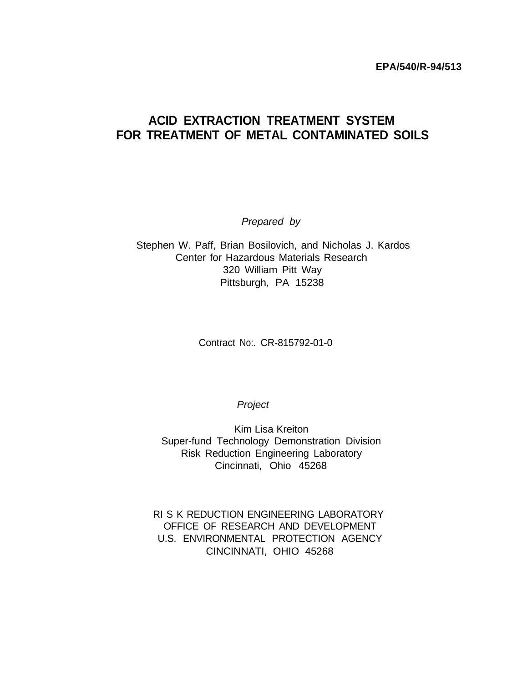**EPA/540/R-94/513**

# **ACID EXTRACTION TREATMENT SYSTEM FOR TREATMENT OF METAL CONTAMINATED SOILS**

*Prepared by*

Stephen W. Paff, Brian Bosilovich, and Nicholas J. Kardos Center for Hazardous Materials Research 320 William Pitt Way Pittsburgh, PA 15238

Contract No:. CR-815792-01-0

**Project** 

Kim Lisa Kreiton Super-fund Technology Demonstration Division Risk Reduction Engineering Laboratory Cincinnati, Ohio 45268

RI S K REDUCTION ENGINEERING LABORATORY OFFICE OF RESEARCH AND DEVELOPMENT U.S. ENVIRONMENTAL PROTECTION AGENCY CINCINNATI, OHIO 45268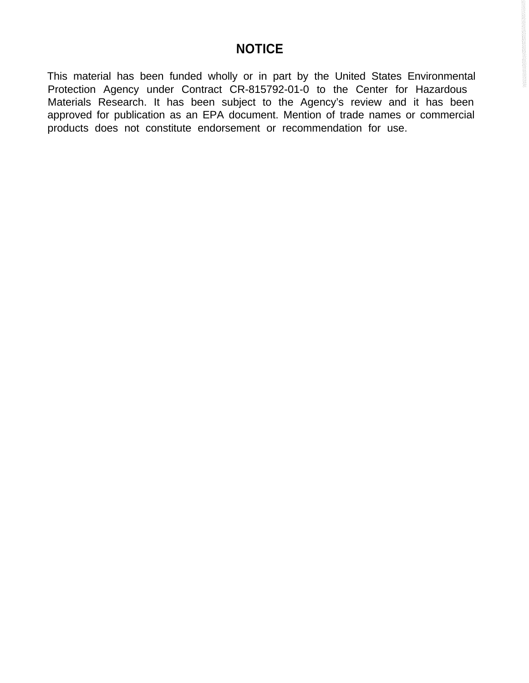# **NOTICE**

This material has been funded wholly or in part by the United States Environmental Protection Agency under Contract CR-815792-01-0 to the Center for Hazardous Materials Research. It has been subject to the Agency's review and it has been approved for publication as an EPA document. Mention of trade names or commercial products does not constitute endorsement or recommendation for use.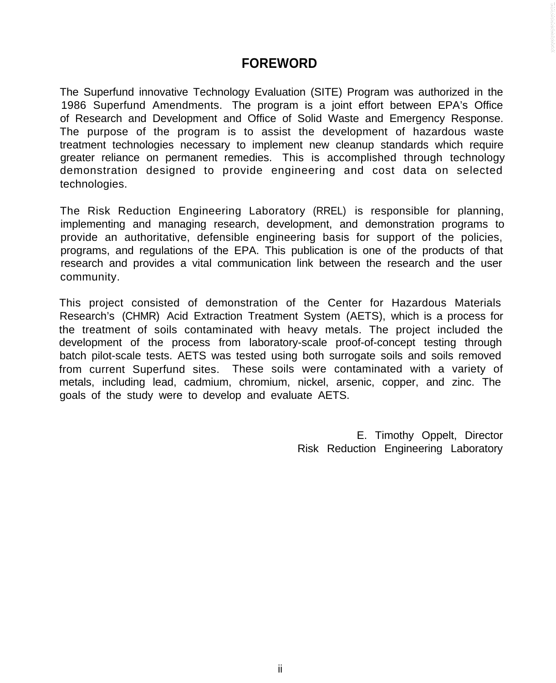# **FOREWORD**

The Superfund innovative Technology Evaluation (SITE) Program was authorized in the 1986 Superfund Amendments. The program is a joint effort between EPA's Office of Research and Development and Office of Solid Waste and Emergency Response. The purpose of the program is to assist the development of hazardous waste treatment technologies necessary to implement new cleanup standards which require greater reliance on permanent remedies. This is accomplished through technology demonstration designed to provide engineering and cost data on selected technologies.

The Risk Reduction Engineering Laboratory (RREL) is responsible for planning, implementing and managing research, development, and demonstration programs to provide an authoritative, defensible engineering basis for support of the policies, programs, and regulations of the EPA. This publication is one of the products of that research and provides a vital communication link between the research and the user community.

This project consisted of demonstration of the Center for Hazardous Materials Research's (CHMR) Acid Extraction Treatment System (AETS), which is a process for the treatment of soils contaminated with heavy metals. The project included the development of the process from laboratory-scale proof-of-concept testing through batch pilot-scale tests. AETS was tested using both surrogate soils and soils removed from current Superfund sites. These soils were contaminated with a variety of metals, including lead, cadmium, chromium, nickel, arsenic, copper, and zinc. The goals of the study were to develop and evaluate AETS.

> E. Timothy Oppelt, Director Risk Reduction Engineering Laboratory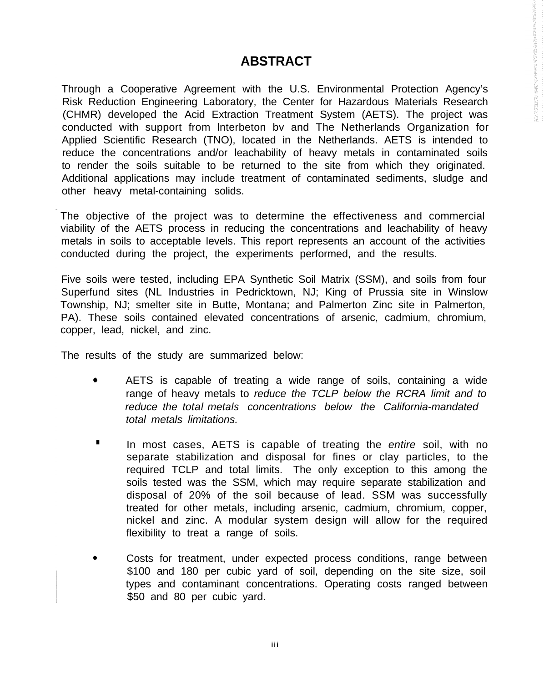# **ABSTRACT**

Through a Cooperative Agreement with the U.S. Environmental Protection Agency's Risk Reduction Engineering Laboratory, the Center for Hazardous Materials Research (CHMR) developed the Acid Extraction Treatment System (AETS). The project was conducted with support from lnterbeton bv and The Netherlands Organization for Applied Scientific Research (TNO), located in the Netherlands. AETS is intended to reduce the concentrations and/or leachability of heavy metals in contaminated soils to render the soils suitable to be returned to the site from which they originated. Additional applications may include treatment of contaminated sediments, sludge and other heavy metal-containing solids.

The objective of the project was to determine the effectiveness and commercial viability of the AETS process in reducing the concentrations and leachability of heavy metals in soils to acceptable levels. This report represents an account of the activities conducted during the project, the experiments performed, and the results.

Five soils were tested, including EPA Synthetic Soil Matrix (SSM), and soils from four Superfund sites (NL Industries in Pedricktown, NJ; King of Prussia site in Winslow Township, NJ; smelter site in Butte, Montana; and Palmerton Zinc site in Palmerton, PA). These soils contained elevated concentrations of arsenic, cadmium, chromium, copper, lead, nickel, and zinc.

The results of the study are summarized below:

- AETS is capable of treating a wide range of soils, containing a wide range of heavy metals to *reduce the TCLP below the RCRA limit and to reduce the total metals concentrations below the California-mandated total metals limitations.*
- **.** In most cases, AETS is capable of treating the *entire* soil, with no separate stabilization and disposal for fines or clay particles, to the required TCLP and total limits. The only exception to this among the soils tested was the SSM, which may require separate stabilization and disposal of 20% of the soil because of lead. SSM was successfully treated for other metals, including arsenic, cadmium, chromium, copper, nickel and zinc. A modular system design will allow for the required flexibility to treat a range of soils.
- Costs for treatment, under expected process conditions, range between \$100 and 180 per cubic yard of soil, depending on the site size, soil types and contaminant concentrations. Operating costs ranged between \$50 and 80 per cubic yard.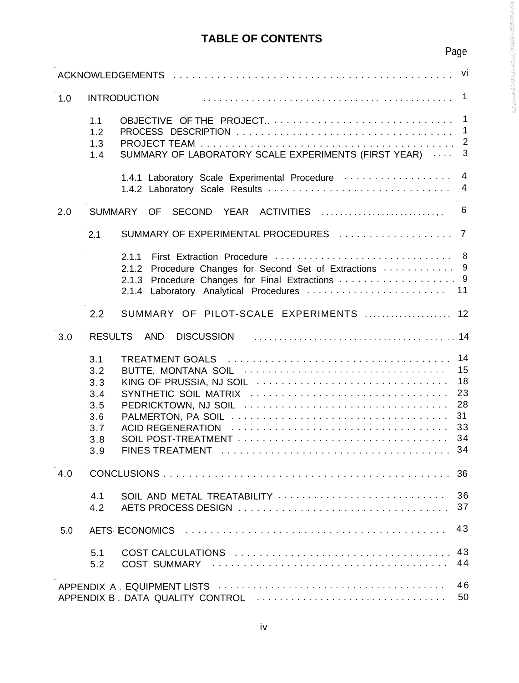# **TABLE OF CONTENTS**

|     |                                                             |                                                                                                                             | Page                               |
|-----|-------------------------------------------------------------|-----------------------------------------------------------------------------------------------------------------------------|------------------------------------|
|     |                                                             |                                                                                                                             | vi                                 |
| 1.0 |                                                             | <b>INTRODUCTION</b>                                                                                                         | $\overline{1}$                     |
|     | 1.1<br>1.2<br>1.3<br>1.4                                    | SUMMARY OF LABORATORY SCALE EXPERIMENTS (FIRST YEAR)                                                                        | $\overline{1}$<br>$\mathbf 1$<br>3 |
|     |                                                             | 1.4.1 Laboratory Scale Experimental Procedure                                                                               | $\overline{4}$<br>$\overline{4}$   |
| 2.0 |                                                             | SUMMARY OF<br>SECOND YEAR ACTIVITIES                                                                                        | 6                                  |
|     | 2.1                                                         |                                                                                                                             |                                    |
|     |                                                             | 2.1.1<br>Procedure Changes for Second Set of Extractions  9<br>2.1.2<br>2.1.3<br>2.1.4 Laboratory Analytical Procedures  11 |                                    |
|     | 2.2                                                         | SUMMARY OF PILOT-SCALE EXPERIMENTS  12                                                                                      |                                    |
| 3.0 | <b>RESULTS</b>                                              | AND<br><b>DISCUSSION</b>                                                                                                    |                                    |
|     | 3.1<br>3.2<br>3.3<br>3.4<br>3.5<br>3.6<br>3.7<br>3.8<br>3.9 | KING OF PRUSSIA, NJ SOIL<br>SYNTHETIC SOIL MATRIX<br>PEDRICKTOWN, NJ SOIL                                                   | 14<br>15<br>18<br>23<br>28<br>31   |
| 4.0 |                                                             |                                                                                                                             | 36                                 |
|     | 4.1<br>4.2                                                  | SOIL AND METAL TREATABILITY                                                                                                 | 36<br>37                           |
| 5.0 |                                                             |                                                                                                                             | 43                                 |
|     | 5.1<br>5.2                                                  |                                                                                                                             | 43<br>44                           |
|     |                                                             |                                                                                                                             | 46<br>50                           |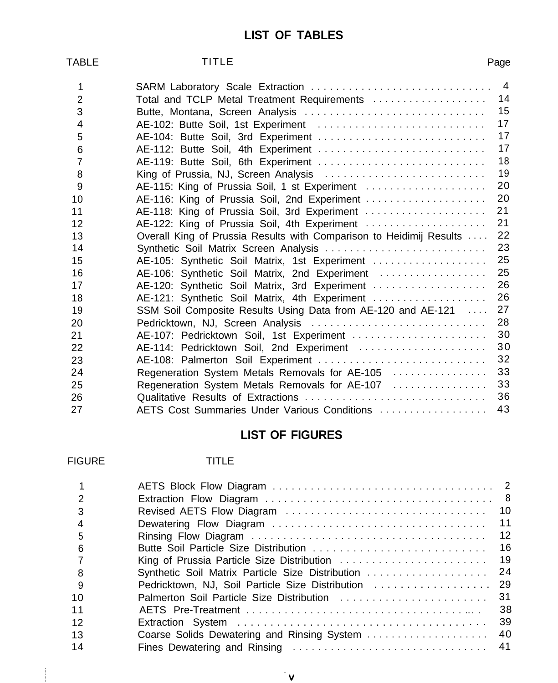# **LIST OF TABLES**

| TABLE          | TITLE                                                               | Page           |
|----------------|---------------------------------------------------------------------|----------------|
| 1              |                                                                     | $\overline{4}$ |
| $\overline{2}$ | Total and TCLP Metal Treatment Requirements                         | 14             |
| 3              | Butte, Montana, Screen Analysis                                     | 15             |
| 4              | AE-102: Butte Soil, 1st Experiment                                  | 17             |
| 5              | AE-104: Butte Soil, 3rd Experiment                                  | 17             |
| 6              | AE-112: Butte Soil, 4th Experiment                                  | 17             |
| $\overline{7}$ | AE-119: Butte Soil, 6th Experiment                                  | 18             |
| 8              | King of Prussia, NJ, Screen Analysis                                | 19             |
| 9              | AE-115: King of Prussia Soil, 1 st Experiment                       | 20             |
| 10             | AE-116: King of Prussia Soil, 2nd Experiment                        | 20             |
| 11             | AE-118: King of Prussia Soil, 3rd Experiment                        | 21             |
| 12             | AE-122: King of Prussia Soil, 4th Experiment                        | 21             |
| 13             | Overall King of Prussia Results with Comparison to Heidimij Results | 22             |
| 14             | Synthetic Soil Matrix Screen Analysis                               | 23             |
| 15             | AE-105: Synthetic Soil Matrix, 1st Experiment                       | 25             |
| 16             | AE-106: Synthetic Soil Matrix, 2nd Experiment                       | 25             |
| 17             | AE-120: Synthetic Soil Matrix, 3rd Experiment                       | 26             |
| 18             | AE-121: Synthetic Soil Matrix, 4th Experiment                       | 26             |
| 19             | SSM Soil Composite Results Using Data from AE-120 and AE-121        | 27             |
| 20             | Pedricktown, NJ, Screen Analysis                                    | 28             |
| 21             | AE-107: Pedricktown Soil, 1st Experiment                            | 30             |
| 22             | AE-114: Pedricktown Soil, 2nd Experiment                            | 30             |
| 23             | AE-108: Palmerton Soil Experiment                                   | 32             |
| 24             | Regeneration System Metals Removals for AE-105                      | 33             |
| 25             | Regeneration System Metals Removals for AE-107                      | 33             |
| 26             | Qualitative Results of Extractions                                  | 36             |
| 27             | AETS Cost Summaries Under Various Conditions                        | 43             |

# **LIST OF FIGURES**

# FIGURE TITLE

| 5  |                                                      |
|----|------------------------------------------------------|
| 6  | - 16<br>Butte Soil Particle Size Distribution        |
|    | 19                                                   |
| 8  | Synthetic Soil Matrix Particle Size Distribution  24 |
| ୍ର | Pedricktown, NJ, Soil Particle Size Distribution  29 |
| 10 | 31<br>Palmerton Soil Particle Size Distribution      |
| 11 | -38                                                  |
| 12 |                                                      |
| 13 | -40<br>Coarse Solids Dewatering and Rinsing System   |
| 14 |                                                      |
|    |                                                      |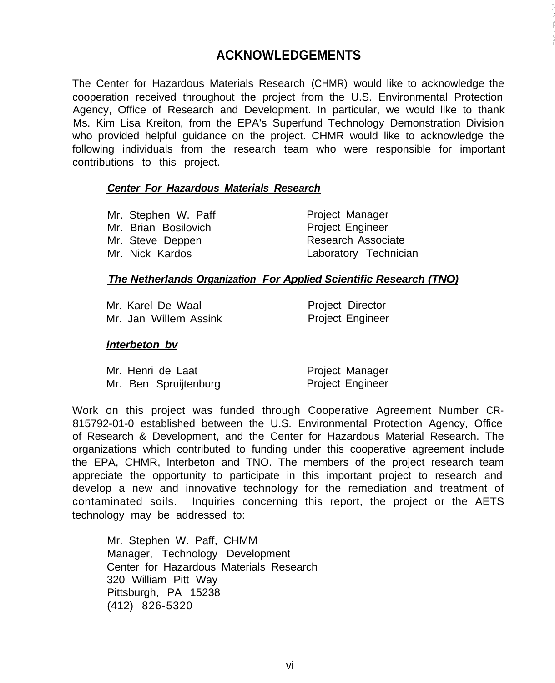# **ACKNOWLEDGEMENTS**

The Center for Hazardous Materials Research (CHMR) would like to acknowledge the cooperation received throughout the project from the U.S. Environmental Protection Agency, Office of Research and Development. In particular, we would like to thank Ms. Kim Lisa Kreiton, from the EPA's Superfund Technology Demonstration Division who provided helpful guidance on the project. CHMR would like to acknowledge the following individuals from the research team who were responsible for important contributions to this project.

#### *Center For Hazardous Materials Research*

Mr. Stephen W. Paff Project Manager Mr. Brian Bosilovich **Project Engineer** Mr. Steve Deppen Research Associate

Mr. Nick Kardos Laboratory Technician

#### *The Netherlands Organization For Applied Scientific Research (TNO)*

Mr. Karel De Waal Mr. Jan Willem Assink Project Director Project Engineer

#### *lnterbeton bv*

|  | Mr. Henri de Laat     | Project Manager         |
|--|-----------------------|-------------------------|
|  | Mr. Ben Spruijtenburg | <b>Project Engineer</b> |

Work on this project was funded through Cooperative Agreement Number CR-815792-01-0 established between the U.S. Environmental Protection Agency, Office of Research & Development, and the Center for Hazardous Material Research. The organizations which contributed to funding under this cooperative agreement include the EPA, CHMR, lnterbeton and TNO. The members of the project research team appreciate the opportunity to participate in this important project to research and develop a new and innovative technology for the remediation and treatment of contaminated soils. Inquiries concerning this report, the project or the AETS technology may be addressed to:

Mr. Stephen W. Paff, CHMM Manager, Technology Development Center for Hazardous Materials Research 320 William Pitt Way Pittsburgh, PA 15238 (412) 826-5320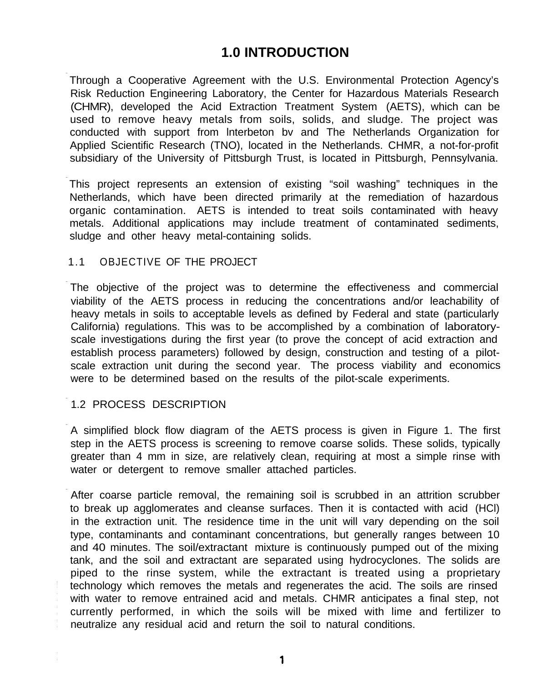# **1.0 INTRODUCTION**

Through a Cooperative Agreement with the U.S. Environmental Protection Agency's Risk Reduction Engineering Laboratory, the Center for Hazardous Materials Research (CHMR), developed the Acid Extraction Treatment System (AETS), which can be used to remove heavy metals from soils, solids, and sludge. The project was conducted with support from lnterbeton bv and The Netherlands Organization for Applied Scientific Research (TNO), located in the Netherlands. CHMR, a not-for-profit subsidiary of the University of Pittsburgh Trust, is located in Pittsburgh, Pennsylvania.

This project represents an extension of existing "soil washing" techniques in the Netherlands, which have been directed primarily at the remediation of hazardous organic contamination. AETS is intended to treat soils contaminated with heavy metals. Additional applications may include treatment of contaminated sediments, sludge and other heavy metal-containing solids.

### 1.1 OBJECTIVE OF THE PROJECT

The objective of the project was to determine the effectiveness and commercial viability of the AETS process in reducing the concentrations and/or leachability of heavy metals in soils to acceptable levels as defined by Federal and state (particularly California) regulations. This was to be accomplished by a combination of laboratoryscale investigations during the first year (to prove the concept of acid extraction and establish process parameters) followed by design, construction and testing of a pilotscale extraction unit during the second year. The process viability and economics were to be determined based on the results of the pilot-scale experiments.

# 1.2 PROCESS DESCRIPTION

A simplified block flow diagram of the AETS process is given in Figure 1. The first step in the AETS process is screening to remove coarse solids. These solids, typically greater than 4 mm in size, are relatively clean, requiring at most a simple rinse with water or detergent to remove smaller attached particles.

After coarse particle removal, the remaining soil is scrubbed in an attrition scrubber to break up agglomerates and cleanse surfaces. Then it is contacted with acid (HCl) in the extraction unit. The residence time in the unit will vary depending on the soil type, contaminants and contaminant concentrations, but generally ranges between 10 and 40 minutes. The soil/extractant mixture is continuously pumped out of the mixing tank, and the soil and extractant are separated using hydrocyclones. The solids are piped to the rinse system, while the extractant is treated using a proprietary technology which removes the metals and regenerates the acid. The soils are rinsed with water to remove entrained acid and metals. CHMR anticipates a final step, not currently performed, in which the soils will be mixed with lime and fertilizer to neutralize any residual acid and return the soil to natural conditions.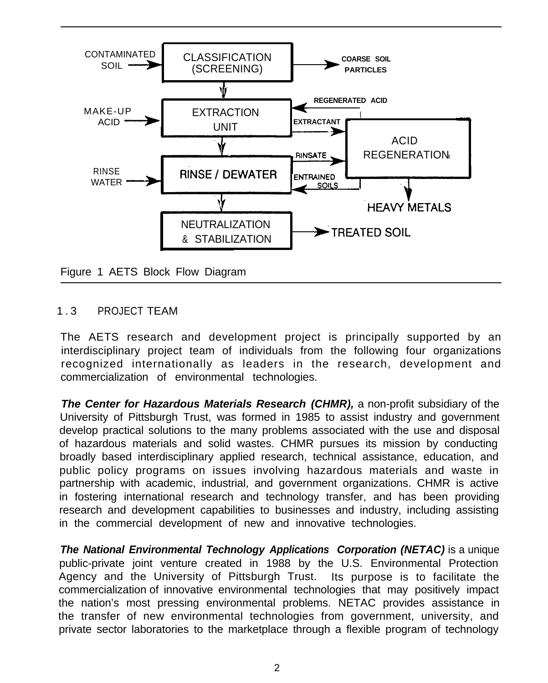

# 1.3 PROJECT TEAM

The AETS research and development project is principally supported by an interdisciplinary project team of individuals from the following four organizations recognized internationally as leaders in the research, development and commercialization of environmental technologies.

*The Center for Hazardous Materials Research (CHMR),* a non-profit subsidiary of the University of Pittsburgh Trust, was formed in 1985 to assist industry and government develop practical solutions to the many problems associated with the use and disposal of hazardous materials and solid wastes. CHMR pursues its mission by conducting broadly based interdisciplinary applied research, technical assistance, education, and public policy programs on issues involving hazardous materials and waste in partnership with academic, industrial, and government organizations. CHMR is active in fostering international research and technology transfer, and has been providing research and development capabilities to businesses and industry, including assisting in the commercial development of new and innovative technologies.

*The National Environmental Technology Applications Corporation (NETAC)* is a unique public-private joint venture created in 1988 by the U.S. Environmental Protection Agency and the University of Pittsburgh Trust. Its purpose is to facilitate the commercialization of innovative environmental technologies that may positively impact the nation's most pressing environmental problems. NETAC provides assistance in the transfer of new environmental technologies from government, university, and private sector laboratories to the marketplace through a flexible program of technology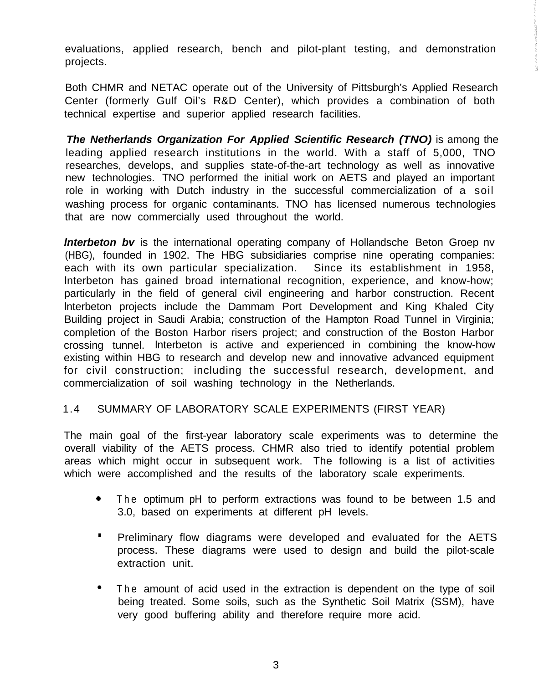evaluations, applied research, bench and pilot-plant testing, and demonstration projects.

 Both CHMR and NETAC operate out of the University of Pittsburgh's Applied Research Center (formerly Gulf Oil's R&D Center), which provides a combination of both technical expertise and superior applied research facilities.

*The Netherlands Organization For Applied Scientific Research (TNO)* is among the leading applied research institutions in the world. With a staff of 5,000, TNO researches, develops, and supplies state-of-the-art technology as well as innovative new technologies. TNO performed the initial work on AETS and played an important role in working with Dutch industry in the successful commercialization of a soil washing process for organic contaminants. TNO has licensed numerous technologies that are now commercially used throughout the world.

*lnterbeton bv* is the international operating company of Hollandsche Beton Groep nv (HBG), founded in 1902. The HBG subsidiaries comprise nine operating companies: each with its own particular specialization. Since its establishment in 1958, lnterbeton has gained broad international recognition, experience, and know-how; particularly in the field of general civil engineering and harbor construction. Recent lnterbeton projects include the Dammam Port Development and King Khaled City Building project in Saudi Arabia; construction of the Hampton Road Tunnel in Virginia; completion of the Boston Harbor risers project; and construction of the Boston Harbor crossing tunnel. lnterbeton is active and experienced in combining the know-how existing within HBG to research and develop new and innovative advanced equipment for civil construction; including the successful research, development, and commercialization of soil washing technology in the Netherlands.

# 1.4 SUMMARY OF LABORATORY SCALE EXPERIMENTS (FIRST YEAR)

The main goal of the first-year laboratory scale experiments was to determine the overall viability of the AETS process. CHMR also tried to identify potential problem areas which might occur in subsequent work. The following is a list of activities which were accomplished and the results of the laboratory scale experiments.

- <sup>0</sup> The optimum pH to perform extractions was found to be between 1.5 and 3.0, based on experiments at different pH levels.
- **.** Preliminary flow diagrams were developed and evaluated for the AETS process. These diagrams were used to design and build the pilot-scale extraction unit.
- **.** The amount of acid used in the extraction is dependent on the type of soil being treated. Some soils, such as the Synthetic Soil Matrix (SSM), have very good buffering ability and therefore require more acid.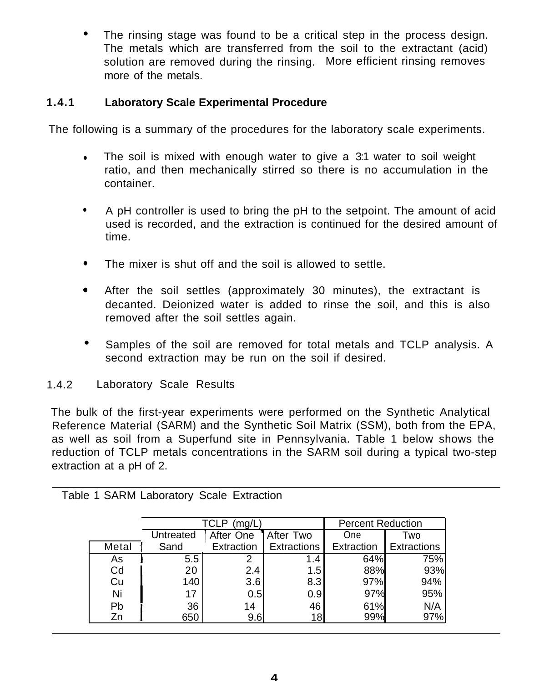**.** The rinsing stage was found to be a critical step in the process design. The metals which are transferred from the soil to the extractant (acid) solution are removed during the rinsing. More efficient rinsing removes more of the metals.

# **1.4.1 Laboratory Scale Experimental Procedure**

The following is a summary of the procedures for the laboratory scale experiments.

- $\bullet$  The soil is mixed with enough water to give a 3:1 water to soil weight ratio, and then mechanically stirred so there is no accumulation in the container.
- A pH controller is used to bring the pH to the setpoint. The amount of acid used is recorded, and the extraction is continued for the desired amount of time.
- The mixer is shut off and the soil is allowed to settle.
- 0 After the soil settles (approximately 30 minutes), the extractant is decanted. Deionized water is added to rinse the soil, and this is also removed after the soil settles again.
- **.** Samples of the soil are removed for total metals and TCLP analysis. A second extraction may be run on the soil if desired.
- 1.4.2 Laboratory Scale Results

The bulk of the first-year experiments were performed on the Synthetic Analytical Reference Material (SARM) and the Synthetic Soil Matrix (SSM), both from the EPA, as well as soil from a Superfund site in Pennsylvania. Table 1 below shows the reduction of TCLP metals concentrations in the SARM soil during a typical two-step extraction at a pH of 2.

|       |           | TCLP<br>(mg/L) |             | <b>Percent Reduction</b> |             |  |
|-------|-----------|----------------|-------------|--------------------------|-------------|--|
|       | Untreated | After One      | After Two   | One                      | Two         |  |
| Metal | Sand      | Extraction     | Extractions | Extraction               | Extractions |  |
| As    | $5.5\,$   |                | 1.4         | 64%                      | 75%         |  |
| Cd    | 20        | 2.4            | $1.5\,$     | 88%                      | 93%         |  |
| Cu    | 140       | 3.6            | 8.3         | 97%                      | 94%         |  |
| Ni    | 17        | 0.5            | 0.9         | 97%                      | 95%         |  |
| Pb    | 36        | 14             | 46          | 61%                      | N/A         |  |
| Zn    | 650       | 9.6            | 18          | 99%                      | 97%         |  |

Table 1 SARM Laboratory Scale Extraction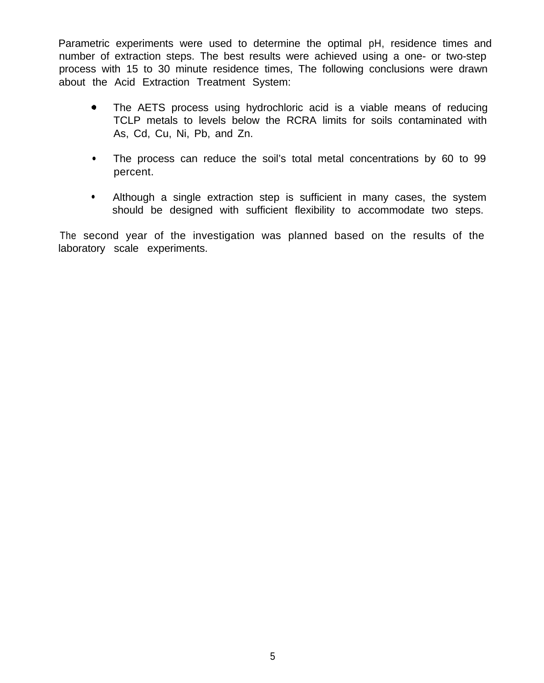Parametric experiments were used to determine the optimal pH, residence times and number of extraction steps. The best results were achieved using a one- or two-step process with 15 to 30 minute residence times, The following conclusions were drawn about the Acid Extraction Treatment System:

- The AETS process using hydrochloric acid is a viable means of reducing TCLP metals to levels below the RCRA limits for soils contaminated with As, Cd, Cu, Ni, Pb, and Zn.
- <sup>l</sup> The process can reduce the soil's total metal concentrations by 60 to 99 percent.
- Although a single extraction step is sufficient in many cases, the system should be designed with sufficient flexibility to accommodate two steps.

 The second year of the investigation was planned based on the results of the laboratory scale experiments.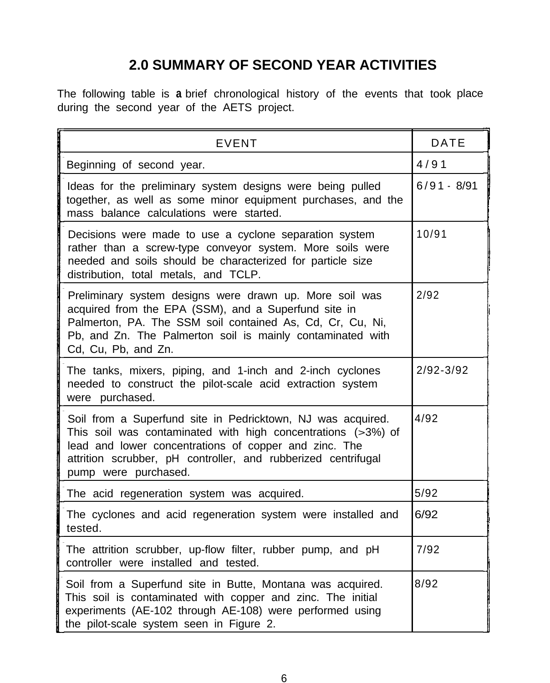# **2.0 SUMMARY OF SECOND YEAR ACTIVITIES**

The following table is **a** brief chronological history of the events that took place during the second year of the AETS project.

| <b>EVENT</b>                                                                                                                                                                                                                                                                    | <b>DATE</b>   |
|---------------------------------------------------------------------------------------------------------------------------------------------------------------------------------------------------------------------------------------------------------------------------------|---------------|
| Beginning of second year.                                                                                                                                                                                                                                                       | 4/91          |
| Ideas for the preliminary system designs were being pulled<br>together, as well as some minor equipment purchases, and the<br>mass balance calculations were started.                                                                                                           | $6/91 - 8/91$ |
| Decisions were made to use a cyclone separation system<br>rather than a screw-type conveyor system. More soils were<br>needed and soils should be characterized for particle size<br>distribution, total metals, and TCLP.                                                      | 10/91         |
| Preliminary system designs were drawn up. More soil was<br>acquired from the EPA (SSM), and a Superfund site in<br>Palmerton, PA. The SSM soil contained As, Cd, Cr, Cu, Ni,<br>Pb, and Zn. The Palmerton soil is mainly contaminated with<br>Cd, Cu, Pb, and Zn.               | 2/92          |
| The tanks, mixers, piping, and 1-inch and 2-inch cyclones<br>needed to construct the pilot-scale acid extraction system<br>were purchased.                                                                                                                                      | $2/92 - 3/92$ |
| Soil from a Superfund site in Pedricktown, NJ was acquired.<br>This soil was contaminated with high concentrations $(>3%)$ of<br>lead and lower concentrations of copper and zinc. The<br>attrition scrubber, pH controller, and rubberized centrifugal<br>pump were purchased. | 4/92          |
| The acid regeneration system was acquired.                                                                                                                                                                                                                                      | 5/92          |
| The cyclones and acid regeneration system were installed and<br>tested.                                                                                                                                                                                                         | 6/92          |
| The attrition scrubber, up-flow filter, rubber pump, and pH<br>controller were installed and tested.                                                                                                                                                                            | 7/92          |
| Soil from a Superfund site in Butte, Montana was acquired.<br>This soil is contaminated with copper and zinc. The initial<br>experiments (AE-102 through AE-108) were performed using<br>the pilot-scale system seen in Figure 2.                                               | 8/92          |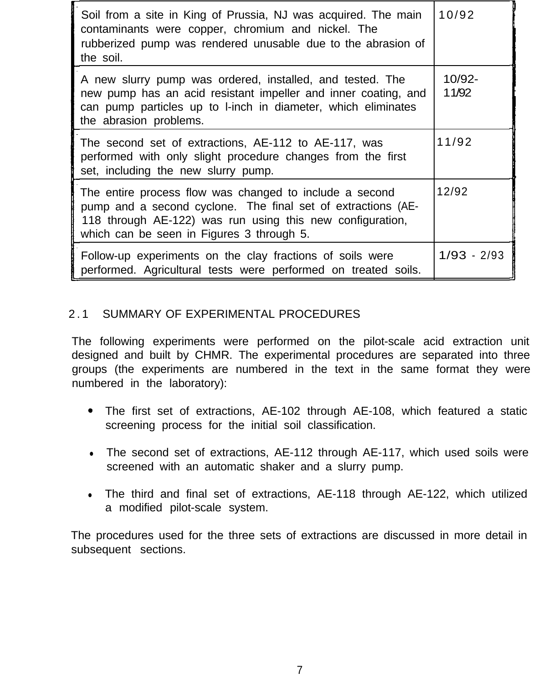| Soil from a site in King of Prussia, NJ was acquired. The main<br>contaminants were copper, chromium and nickel. The<br>rubberized pump was rendered unusable due to the abrasion of<br>the soil.                                 | 10/92           |
|-----------------------------------------------------------------------------------------------------------------------------------------------------------------------------------------------------------------------------------|-----------------|
| A new slurry pump was ordered, installed, and tested. The<br>new pump has an acid resistant impeller and inner coating, and<br>can pump particles up to I-inch in diameter, which eliminates<br>the abrasion problems.            | 10/92-<br>11/92 |
| The second set of extractions, AE-112 to AE-117, was<br>performed with only slight procedure changes from the first<br>set, including the new slurry pump.                                                                        | 11/92           |
| The entire process flow was changed to include a second<br>pump and a second cyclone. The final set of extractions (AE-<br>118 through AE-122) was run using this new configuration,<br>which can be seen in Figures 3 through 5. | 12/92           |
| Follow-up experiments on the clay fractions of soils were<br>performed. Agricultural tests were performed on treated soils.                                                                                                       | $1/93 - 2/93$   |

# 2.1 SUMMARY OF EXPERIMENTAL PROCEDURES

The following experiments were performed on the pilot-scale acid extraction unit designed and built by CHMR. The experimental procedures are separated into three groups (the experiments are numbered in the text in the same format they were numbered in the laboratory):

- \* The first set of extractions, AE-102 through AE-108, which featured a static screening process for the initial soil classification.
- The second set of extractions, AE-112 through AE-117, which used soils were screened with an automatic shaker and a slurry pump.
- The third and final set of extractions, AE-118 through AE-122, which utilized a modified pilot-scale system.

The procedures used for the three sets of extractions are discussed in more detail in subsequent sections.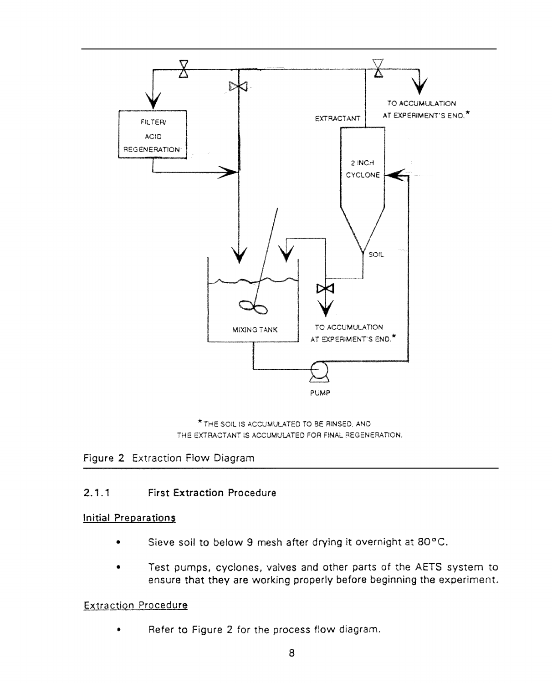

\*THE SOIL IS ACCUMULATED TO BE RINSED. AND THE EXTRACTANT IS ACCUMULATED FOR FINAL REGENERATION.

Figure 2 Extraction Flow Diagram

# 2.1.1 First Extraction Procedure

# Initial Preparations

- Sieve soil to below 9 mesh after drying it overnight at 80°C.
- Test pumps, cyclones, valves and other parts of the AETS system to ensure that they are working properly before beginning the experiment.

# **Extraction Procedure**

• Refer to Figure 2 for the process flow diagram.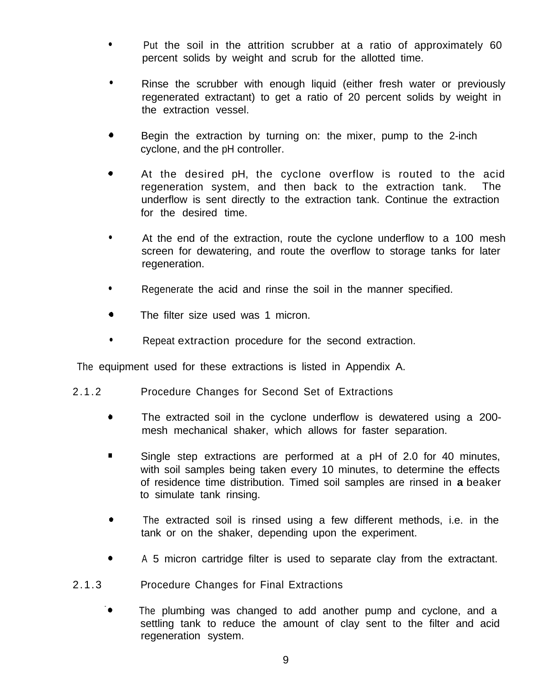- <sup>l</sup> Put the soil in the attrition scrubber at a ratio of approximately 60 percent solids by weight and scrub for the allotted time.
- Rinse the scrubber with enough liquid (either fresh water or previously regenerated extractant) to get a ratio of 20 percent solids by weight in the extraction vessel.
- 0 Begin the extraction by turning on: the mixer, pump to the 2-inch cyclone, and the pH controller.
- 0 At the desired pH, the cyclone overflow is routed to the acid regeneration system, and then back to the extraction tank. The underflow is sent directly to the extraction tank. Continue the extraction for the desired time.
- At the end of the extraction, route the cyclone underflow to a 100 mesh screen for dewatering, and route the overflow to storage tanks for later regeneration.
- Regenerate the acid and rinse the soil in the manner specified.
- The filter size used was 1 micron.
- Repeat extraction procedure for the second extraction.

The equipment used for these extractions is listed in Appendix A.

- 2.1.2 Procedure Changes for Second Set of Extractions
	- The extracted soil in the cyclone underflow is dewatered using a 200mesh mechanical shaker, which allows for faster separation.
	- **.** Single step extractions are performed at a pH of 2.0 for 40 minutes, with soil samples being taken every 10 minutes, to determine the effects of residence time distribution. Timed soil samples are rinsed in **a** beaker to simulate tank rinsing.
	- The extracted soil is rinsed using a few different methods, i.e. in the tank or on the shaker, depending upon the experiment.
	- 0 A 5 micron cartridge filter is used to separate clay from the extractant.
- 2.1.3 Procedure Changes for Final Extractions
	- $\bullet$  The plumbing was changed to add another pump and cyclone, and a settling tank to reduce the amount of clay sent to the filter and acid regeneration system.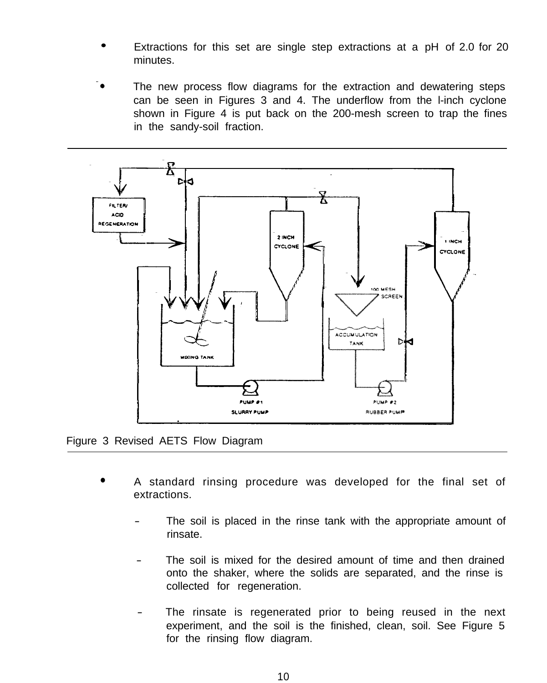- **.** Extractions for this set are single step extractions at a pH of 2.0 for 20 minutes.
- The new process flow diagrams for the extraction and dewatering steps can be seen in Figures 3 and 4. The underflow from the l-inch cyclone shown in Figure 4 is put back on the 200-mesh screen to trap the fines in the sandy-soil fraction.



Figure 3 Revised AETS Flow Diagram

- A standard rinsing procedure was developed for the final set of extractions.
	- The soil is placed in the rinse tank with the appropriate amount of rinsate.
	- The soil is mixed for the desired amount of time and then drained onto the shaker, where the solids are separated, and the rinse is collected for regeneration.
	- The rinsate is regenerated prior to being reused in the next experiment, and the soil is the finished, clean, soil. See Figure 5 for the rinsing flow diagram.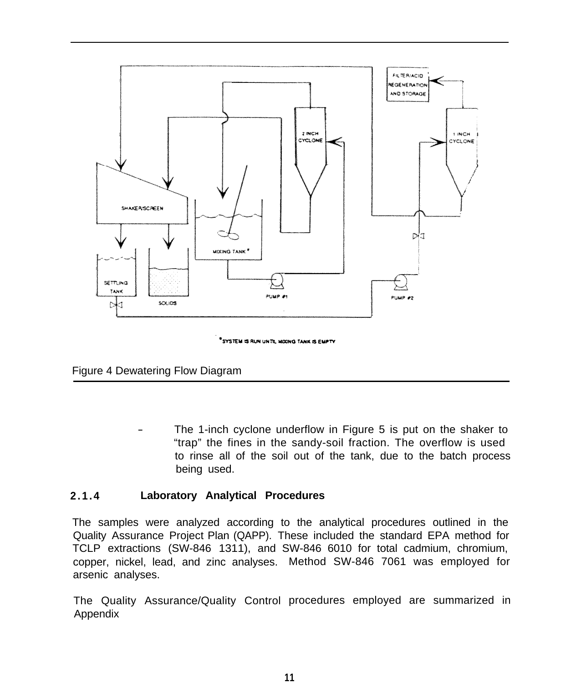

"SYSTEM IS RUN UNTIL MOONG TANK IS EMPTY

Figure 4 Dewatering Flow Diagram

The 1-inch cyclone underflow in Figure 5 is put on the shaker to "trap" the fines in the sandy-soil fraction. The overflow is used to rinse all of the soil out of the tank, due to the batch process being used.

# **2.1.4 Laboratory Analytical Procedures**

The samples were analyzed according to the analytical procedures outlined in the Quality Assurance Project Plan (QAPP). These included the standard EPA method for TCLP extractions (SW-846 1311), and SW-846 6010 for total cadmium, chromium, copper, nickel, lead, and zinc analyses. Method SW-846 7061 was employed for arsenic analyses.

The Quality Assurance/Quality Control procedures employed are summarized in **Appendix**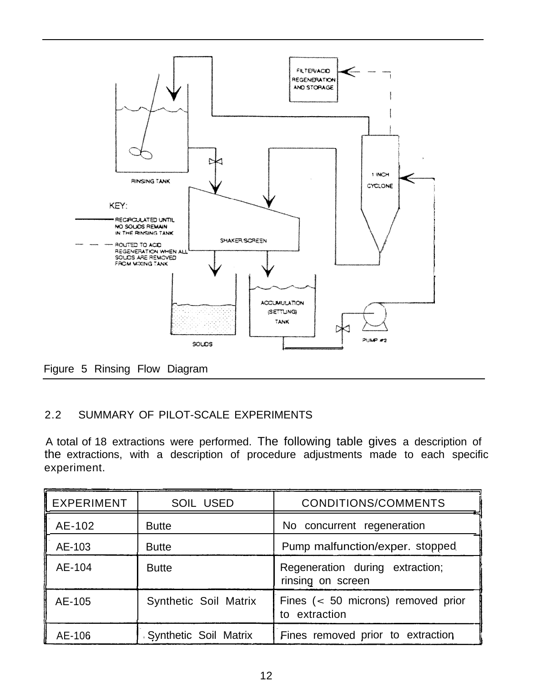

Figure 5 Rinsing Flow Diagram

# 2.2 SUMMARY OF PILOT-SCALE EXPERIMENTS

A total of 18 extractions were performed. The following table gives a description of the extractions, with a description of procedure adjustments made to each specific experiment.

| EXPERIMENT | <b>SOIL USED</b>      | CONDITIONS/COMMENTS                                  |
|------------|-----------------------|------------------------------------------------------|
| AE-102     | <b>Butte</b>          | No concurrent regeneration                           |
| AE-103     | <b>Butte</b>          | Pump malfunction/exper. stopped                      |
| AE-104     | <b>Butte</b>          | Regeneration during extraction;<br>rinsing on screen |
| AE-105     | Synthetic Soil Matrix | Fines $(50 microns) removed priorto extraction$      |
| AE-106     | Synthetic Soil Matrix | Fines removed prior to extraction                    |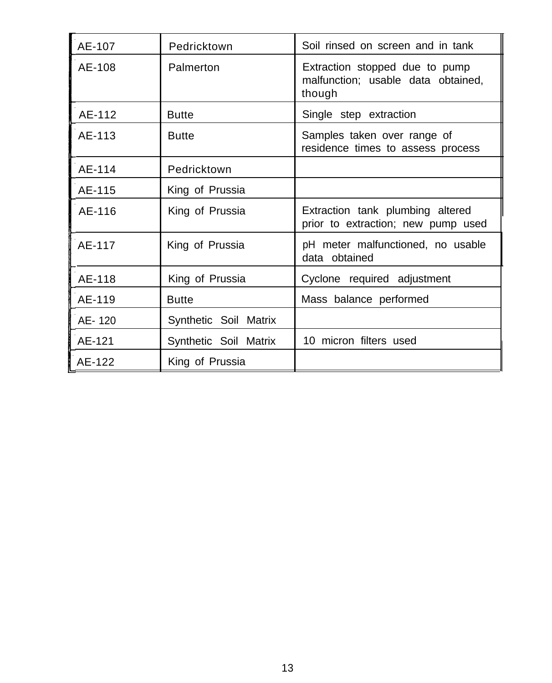| AE-107 | Pedricktown           | Soil rinsed on screen and in tank                                              |
|--------|-----------------------|--------------------------------------------------------------------------------|
| AE-108 | Palmerton             | Extraction stopped due to pump<br>malfunction; usable data obtained,<br>though |
| AE-112 | <b>Butte</b>          | Single step extraction                                                         |
| AE-113 | <b>Butte</b>          | Samples taken over range of<br>residence times to assess process               |
| AE-114 | Pedricktown           |                                                                                |
| AE-115 | King of Prussia       |                                                                                |
| AE-116 | King of Prussia       | Extraction tank plumbing altered<br>prior to extraction; new pump used         |
| AE-117 | King of Prussia       | pH meter malfunctioned, no usable<br>data obtained                             |
| AE-118 | King of Prussia       | Cyclone required adjustment                                                    |
| AE-119 | <b>Butte</b>          | Mass balance performed                                                         |
| AE-120 | Synthetic Soil Matrix |                                                                                |
| AE-121 | Synthetic Soil Matrix | 10 micron filters used                                                         |
| AE-122 | King of Prussia       |                                                                                |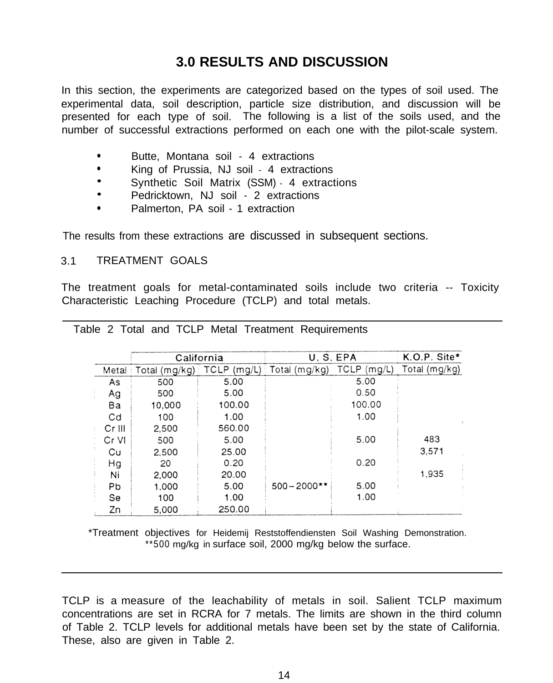# **3.0 RESULTS AND DISCUSSION**

In this section, the experiments are categorized based on the types of soil used. The experimental data, soil description, particle size distribution, and discussion will be presented for each type of soil. The following is a list of the soils used, and the number of successful extractions performed on each one with the pilot-scale system.

- Butte, Montana soil 4 extractions
- 
- <sup>l</sup> King of Prussia, NJ soil 4 extractions **.** Synthetic Soil Matrix (SSM) 4 extractions **.** Pedricktown, NJ soil 2 extractions
- 
- Palmerton, PA soil 1 extraction

The results from these extractions are discussed in subsequent sections.

# 3.1 TREATMENT GOALS

The treatment goals for metal-contaminated soils include two criteria -- Toxicity Characteristic Leaching Procedure (TCLP) and total metals.

|                |               | California  |                | U.S.EPA               | K.O.P. Site*  |
|----------------|---------------|-------------|----------------|-----------------------|---------------|
| Metal          | Total (mg/kg) | TCLP (mg/L) | Total (mg/kg)  | <b>TCLP</b><br>(mg/L) | Total (mg/kg) |
| As             | 500           | 5.00        |                | 5.00                  |               |
| Ag             | 500           | 5.00        |                | 0.50                  |               |
| Ba             | 10,000        | 100.00      |                | 100.00                |               |
| Cd             | 100           | 1.00        |                | 1.00                  |               |
| $Cr$ III       | 2,500         | 560.00      |                |                       |               |
| $Cr$ VI        | 500           | 5.00        |                | 5.00                  | 483           |
| Cu             | 2,500         | 25.00       |                |                       | 3.571         |
| Hg             | 20            | 0.20        |                | 0.20                  |               |
| Ni             | 2,000         | 20.00       |                |                       | 1,935         |
| P <sub>b</sub> | 1,000         | 5.00        | $500 - 2000**$ | 5.00                  |               |
| Se             | 100           | 1.00        |                | 1.00                  |               |
| Zn             | 5,000         | 250.00      |                |                       |               |

|  |  |  |  |  |  |  | Table 2 Total and TCLP Metal Treatment Requirements |
|--|--|--|--|--|--|--|-----------------------------------------------------|
|--|--|--|--|--|--|--|-----------------------------------------------------|

\*Treatment objectives for Heidemij Reststoffendiensten Soil Washing Demonstration. \*\*500 mg/kg in surface soil, 2000 mg/kg below the surface.

TCLP is a measure of the leachability of metals in soil. Salient TCLP maximum concentrations are set in RCRA for 7 metals. The limits are shown in the third column of Table 2. TCLP levels for additional metals have been set by the state of California. These, also are given in Table 2.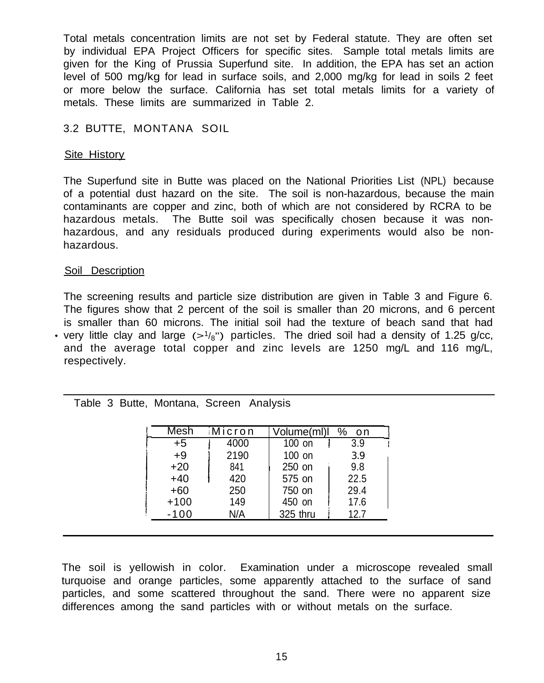Total metals concentration limits are not set by Federal statute. They are often set by individual EPA Project Officers for specific sites. Sample total metals limits are given for the King of Prussia Superfund site. In addition, the EPA has set an action level of 500 mg/kg for lead in surface soils, and 2,000 mg/kg for lead in soils 2 feet or more below the surface. California has set total metals limits for a variety of metals. These limits are summarized in Table 2.

# 3.2 BUTTE, MONTANA SOIL

# Site History

The Superfund site in Butte was placed on the National Priorities List (NPL) because of a potential dust hazard on the site. The soil is non-hazardous, because the main contaminants are copper and zinc, both of which are not considered by RCRA to be hazardous metals. The Butte soil was specifically chosen because it was nonhazardous, and any residuals produced during experiments would also be nonhazardous.

### Soil Description

If very little clay and large  $(>1/8)$ " particles. The dried soil had a density of 1.25 g/cc, The screening results and particle size distribution are given in Table 3 and Figure 6. The figures show that 2 percent of the soil is smaller than 20 microns, and 6 percent is smaller than 60 microns. The initial soil had the texture of beach sand that had and the average total copper and zinc levels are 1250 mg/L and 116 mg/L, respectively.

# Table 3 Butte, Montana, Screen Analysis

|      |          | Volume(ml)l %<br>-on |
|------|----------|----------------------|
| 4000 | 100 on   | 3.9                  |
| 2190 | 100 on   | 3.9                  |
| 841  | 250 on   | 9.8                  |
| 420  | 575 on   | 22.5                 |
| 250  | 750 on   | 29.4                 |
| 149  | 450 on   | 17.6                 |
| N/A  | 325 thru | 12.7                 |
|      |          |                      |

The soil is yellowish in color. Examination under a microscope revealed small turquoise and orange particles, some apparently attached to the surface of sand particles, and some scattered throughout the sand. There were no apparent size differences among the sand particles with or without metals on the surface.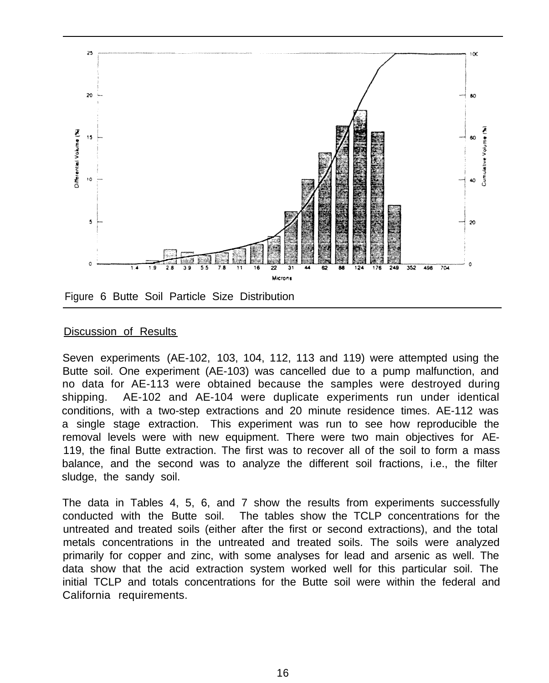

Figure 6 Butte Soil Particle Size Distribution

# **Discussion of Results**

Seven experiments (AE-102, 103, 104, 112, 113 and 119) were attempted using the Butte soil. One experiment (AE-103) was cancelled due to a pump malfunction, and no data for AE-113 were obtained because the samples were destroyed during shipping. AE-102 and AE-104 were duplicate experiments run under identical conditions, with a two-step extractions and 20 minute residence times. AE-112 was a single stage extraction. This experiment was run to see how reproducible the removal levels were with new equipment. There were two main objectives for AE-119, the final Butte extraction. The first was to recover all of the soil to form a mass balance, and the second was to analyze the different soil fractions, i.e., the filter sludge, the sandy soil.

The data in Tables 4, 5, 6, and 7 show the results from experiments successfully conducted with the Butte soil. The tables show the TCLP concentrations for the untreated and treated soils (either after the first or second extractions), and the total metals concentrations in the untreated and treated soils. The soils were analyzed primarily for copper and zinc, with some analyses for lead and arsenic as well. The data show that the acid extraction system worked well for this particular soil. The initial TCLP and totals concentrations for the Butte soil were within the federal and California requirements.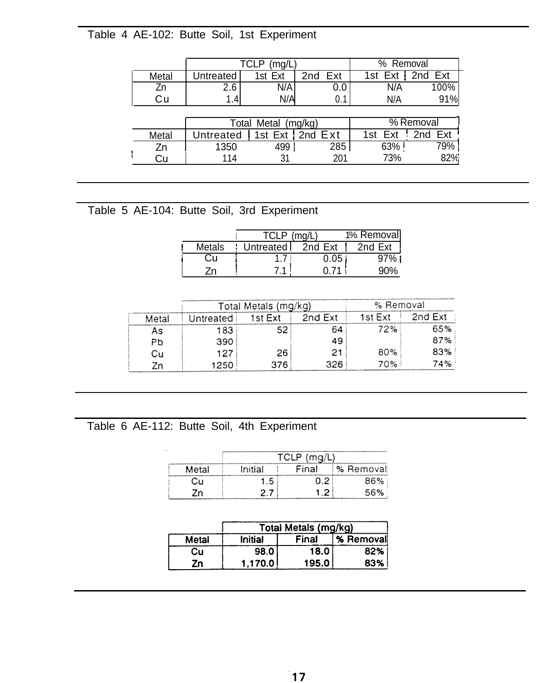# Table 4 AE-102: Butte Soil, 1st Experiment

|       |           | TCLP<br>(mg/L       |                        | % Removal         |           |
|-------|-----------|---------------------|------------------------|-------------------|-----------|
| Metal | Untreated | 1st Ext             | 2 <sub>nd</sub><br>Ext | 1st Ext   2nd Ext |           |
| Zn    | 2.6       | N/A                 | 0.0                    | N/A               | 100%      |
| Сu    | 1.4       | N/A                 | 0.1                    | N/A               | 91%       |
|       |           |                     |                        |                   |           |
|       |           | Total Metal (mg/kg) |                        |                   | % Removal |
| Metal | Untreated |                     | 1st Ext   2nd Ext      | 1st Ext           | 2nd Ext   |
| Zn    | 1350      | 499                 | 285                    | 63%               | 79%       |
| Cu    | 114       |                     | 201                    | 73%               | 82%       |

# Table 5 AE-104: Butte Soil, 3rd Experiment

|        | TCI P       | (mn)     | 1% Removal |
|--------|-------------|----------|------------|
| Metals | Untreated I | 2nd Ext  | 2nd Ext    |
|        |             | $0.05\,$ | 97%        |
|        |             | N 71     | 90%        |

|       |           | Total Metals (mg/kg) |         |         | % Removal |
|-------|-----------|----------------------|---------|---------|-----------|
| Metal | Untreated | 1st Ext              | 2nd Ext | 1st Ext | 2nd Ext   |
| As    | 183       | ເລ                   | 64      | 72%     | 65%       |
| PЬ    | 390       |                      | 49      |         | 87%       |
| Cu    | 127       | 26                   | 21      | 80%     | 83%       |
| 7n    | 1250      | 376                  | 326.    | 70%     | '4%       |

# Table 6 AE-112: Butte Soil, 4th Experiment

| Metal | Initial | Final | ℅ | Removal |
|-------|---------|-------|---|---------|
|       | .5      |       |   | 36%     |
|       |         |       |   | E O/    |

|       | Total Metals (mg/kg) |       |           |  |
|-------|----------------------|-------|-----------|--|
| Metal | Initial              | Final | % Removal |  |
| Cu    | 98.0                 | 18.0  | 82%       |  |
| Zn    | 1.170.0              | 195.0 | 83%       |  |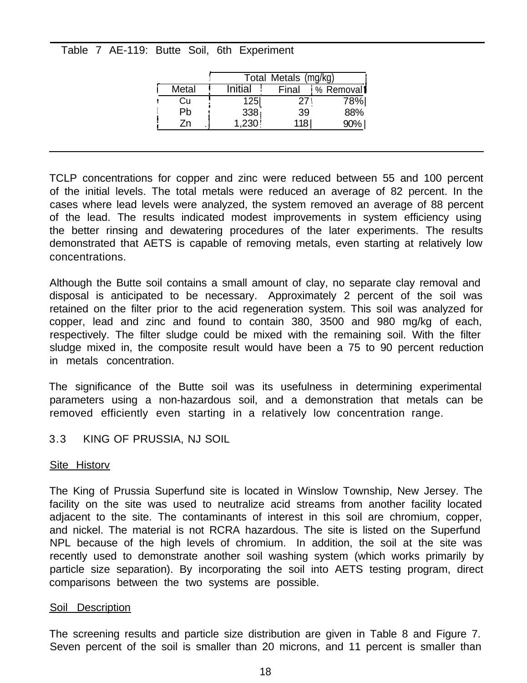Table 7 AE-119: Butte Soil, 6th Experiment

|       |         | Total Metals (mg/kg) |           |
|-------|---------|----------------------|-----------|
| Metal | Initial | Final                | % Removal |
| Cu    | 1251    | 27                   | 78%       |
| Ph    | 338     | 39                   | 88%       |
| 7n    | 1,230   | 118 l                | 90%       |

TCLP concentrations for copper and zinc were reduced between 55 and 100 percent of the initial levels. The total metals were reduced an average of 82 percent. In the cases where lead levels were analyzed, the system removed an average of 88 percent of the lead. The results indicated modest improvements in system efficiency using the better rinsing and dewatering procedures of the later experiments. The results demonstrated that AETS is capable of removing metals, even starting at relatively low concentrations.

Although the Butte soil contains a small amount of clay, no separate clay removal and disposal is anticipated to be necessary. Approximately 2 percent of the soil was retained on the filter prior to the acid regeneration system. This soil was analyzed for copper, lead and zinc and found to contain 380, 3500 and 980 mg/kg of each, respectively. The filter sludge could be mixed with the remaining soil. With the filter sludge mixed in, the composite result would have been a 75 to 90 percent reduction in metals concentration.

The significance of the Butte soil was its usefulness in determining experimental parameters using a non-hazardous soil, and a demonstration that metals can be removed efficiently even starting in a relatively low concentration range.

3.3 KING OF PRUSSIA, NJ SOIL

# Site Historv

The King of Prussia Superfund site is located in Winslow Township, New Jersey. The facility on the site was used to neutralize acid streams from another facility located adjacent to the site. The contaminants of interest in this soil are chromium, copper, and nickel. The material is not RCRA hazardous. The site is listed on the Superfund NPL because of the high levels of chromium. In addition, the soil at the site was recently used to demonstrate another soil washing system (which works primarily by particle size separation). By incorporating the soil into AETS testing program, direct comparisons between the two systems are possible.

#### Soil Description

The screening results and particle size distribution are given in Table 8 and Figure 7. Seven percent of the soil is smaller than 20 microns, and 11 percent is smaller than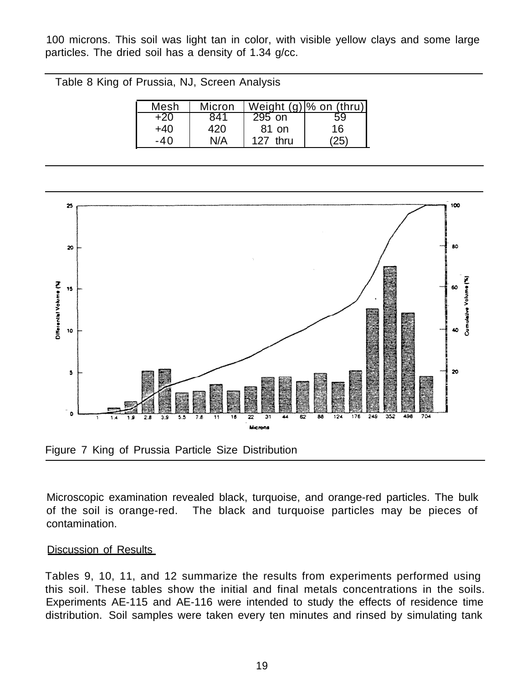100 microns. This soil was light tan in color, with visible yellow clays and some large particles. The dried soil has a density of 1.34 g/cc.

Table 8 King of Prussia, NJ, Screen Analysis

| Mesh | Micron |             | Weight $(g)$ % on (thru) |
|------|--------|-------------|--------------------------|
|      |        | 295 on      | 59                       |
| +40  | 420    | 81 on       | 16                       |
| -40  | N/A    | thru<br>127 |                          |



Microscopic examination revealed black, turquoise, and orange-red particles. The bulk of the soil is orange-red. The black and turquoise particles may be pieces of contamination.

# Discussion of Results

Tables 9, 10, 11, and 12 summarize the results from experiments performed using this soil. These tables show the initial and final metals concentrations in the soils. Experiments AE-115 and AE-116 were intended to study the effects of residence time distribution. Soil samples were taken every ten minutes and rinsed by simulating tank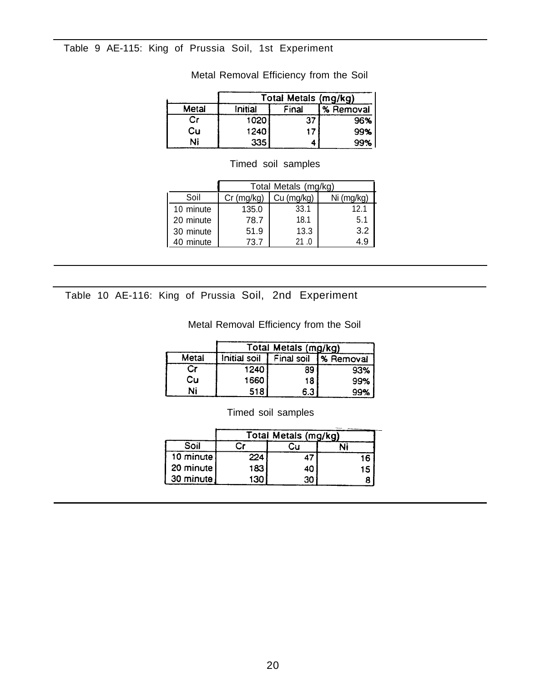## Table 9 AE-115: King of Prussia Soil, 1st Experiment

|       | Total Metals (mg/kg) |       |           |  |  |
|-------|----------------------|-------|-----------|--|--|
| Metal | Initial              | Final | % Removal |  |  |
| Cr    | 1020                 |       | 96%       |  |  |
| Cu    | 1240                 | 17    | 99%       |  |  |
| Ni    | 335                  |       | 99%       |  |  |

# Metal Removal Efficiency from the Soil

|           |              | Total Metals (mg/kg) |            |  |  |  |
|-----------|--------------|----------------------|------------|--|--|--|
| Soil      | $Cr$ (mg/kg) | Cu (mg/kg)           | Ni (mg/kg) |  |  |  |
| 10 minute | 135.0        | 33.1                 | 12.1       |  |  |  |
| 20 minute | 78.7         | 18.1                 | 5.1        |  |  |  |
| 30 minute | 51.9         | 13.3                 | 3.2        |  |  |  |
| minute    | 73.7         |                      |            |  |  |  |

# Timed soil samples

Table 10 AE-116: King of Prussia Soil, 2nd Experiment

Metal Removal Efficiency from the Soil

|       | Total Metals (mg/kg) |            |              |  |  |
|-------|----------------------|------------|--------------|--|--|
| Metal | Initial soil         | Final soil | I% Removal I |  |  |
|       | 1240                 | 89         | 93%          |  |  |
| Cυ    | 1660                 | 18         | 99%          |  |  |
| Ni    | 518                  | 6.3        | 99%          |  |  |

Timed soil samples

|           |     | Total Metals (mg/kg) |    |
|-----------|-----|----------------------|----|
| Soil      |     |                      |    |
| 10 minute | 224 |                      | 16 |
| 20 minute | 183 |                      | 15 |
| 30 minute | 130 | 30                   |    |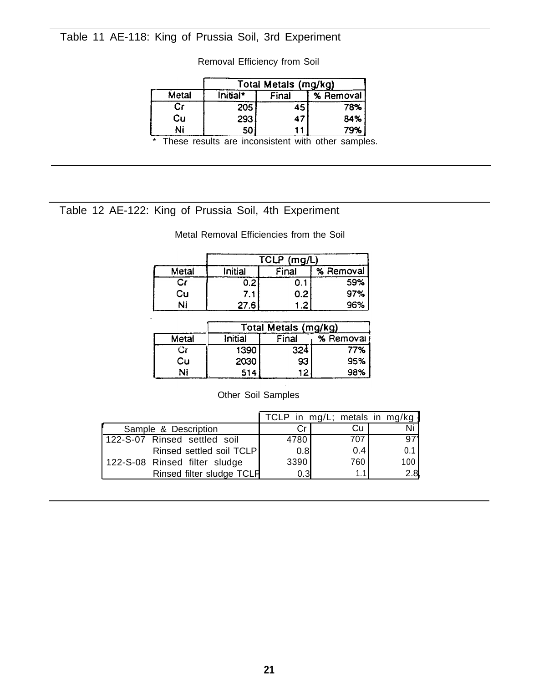# Table 11 AE-118: King of Prussia Soil, 3rd Experiment

|         | King of Prussia Soil, 3rd Experiment |                      |           |  |  |
|---------|--------------------------------------|----------------------|-----------|--|--|
|         | Removal Efficiency from Soil         |                      |           |  |  |
|         |                                      |                      |           |  |  |
| Metal   | Initial*                             | Total Metals (mg/kg) |           |  |  |
|         |                                      | Final                | % Removal |  |  |
| Cr      | 205                                  | 45                   | 78%       |  |  |
| Cu      | 293                                  | 47                   | 84%       |  |  |
| Ni<br>÷ | 50                                   | .                    | 79%       |  |  |

These results are inconsistent with other samples.

# Table 12 AE-122: King of Prussia Soil, 4th Experiment

|       |         | TCLP (mg/L) |           |
|-------|---------|-------------|-----------|
| Metal | Initial | Final       | % Removal |
|       | 0.2     |             | 59%       |
| Cu    | 7.1     | 0.2         | 97%       |
| Ni    | 27.6    | 1.2         | 96%       |

Metal Removal Efficiencies from the Soil

|       | Total Metals (mg/kg) |       |             |  |  |  |  |  |  |  |
|-------|----------------------|-------|-------------|--|--|--|--|--|--|--|
| Metal | Initial              | Final | % Removal I |  |  |  |  |  |  |  |
|       | 1390                 | 324   | 77%         |  |  |  |  |  |  |  |
| Cυ    | 2030                 | 93    | 95%         |  |  |  |  |  |  |  |
| Ni    | 514                  | 12    | 98%         |  |  |  |  |  |  |  |

Other Soil Samples

|                               |      | TCLP in mg/L; metals in mg/kg |     |
|-------------------------------|------|-------------------------------|-----|
| Sample & Description          |      | Сu                            |     |
| 122-S-07 Rinsed settled soil  | 4780 | 707                           | 97' |
| Rinsed settled soil TCLP      | 0.8  | 0.4                           | 0.1 |
| 122-S-08 Rinsed filter sludge | 3390 | 760                           | 100 |
| Rinsed filter sludge TCLP     | 0.3  |                               | 2.8 |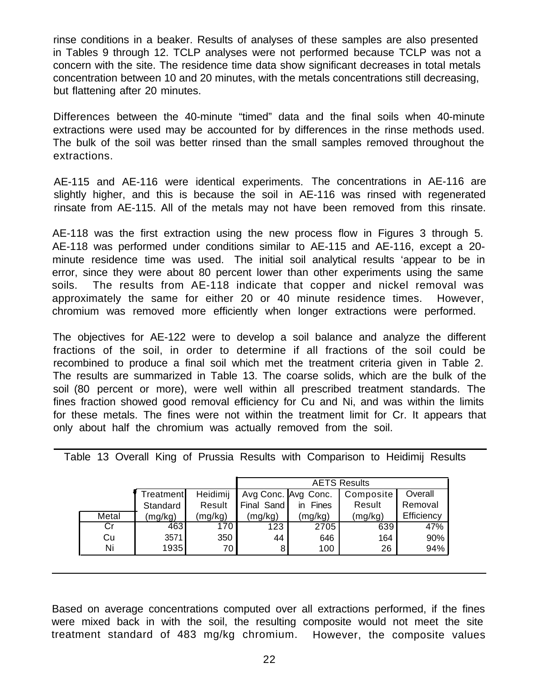rinse conditions in a beaker. Results of analyses of these samples are also presented in Tables 9 through 12. TCLP analyses were not performed because TCLP was not a concern with the site. The residence time data show significant decreases in total metals concentration between 10 and 20 minutes, with the metals concentrations still decreasing, but flattening after 20 minutes.

Differences between the 40-minute "timed" data and the final soils when 40-minute extractions were used may be accounted for by differences in the rinse methods used. The bulk of the soil was better rinsed than the small samples removed throughout the extractions.

AE-115 and AE-116 were identical experiments. The concentrations in AE-116 are slightly higher, and this is because the soil in AE-116 was rinsed with regenerated rinsate from AE-115. All of the metals may not have been removed from this rinsate.

AE-118 was the first extraction using the new process flow in Figures 3 through 5. AE-118 was performed under conditions similar to AE-115 and AE-116, except a 20 minute residence time was used. The initial soil analytical results 'appear to be in error, since they were about 80 percent lower than other experiments using the same soils. The results from AE-118 indicate that copper and nickel removal was approximately the same for either 20 or 40 minute residence times. However, chromium was removed more efficiently when longer extractions were performed.

The objectives for AE-122 were to develop a soil balance and analyze the different fractions of the soil, in order to determine if all fractions of the soil could be recombined to produce a final soil which met the treatment criteria given in Table 2. The results are summarized in Table 13. The coarse solids, which are the bulk of the soil (80 percent or more), were well within all prescribed treatment standards. The fines fraction showed good removal efficiency for Cu and Ni, and was within the limits for these metals. The fines were not within the treatment limit for Cr. It appears that only about half the chromium was actually removed from the soil.

|       |           |          | <b>AETS Results</b> |             |           |            |  |
|-------|-----------|----------|---------------------|-------------|-----------|------------|--|
|       | Treatment | Heidimij | Avg Conc. Avg Conc. |             | Composite | Overall    |  |
|       | Standard  | Result   | Final Sand          | Fines<br>in | Result    | Removal    |  |
| Metal | (mg/kg)   | (mg/kg)  | (mg/kg)             | (mg/kg)     | (mg/kg)   | Efficiency |  |
| Cr    | 463       | 170.     | 123                 | 2705        | 639       | 47%        |  |
| Cu    | 3571      | 350      | 44                  | 646         | 164       | 90%        |  |
| Ni    | 1935      | 70 I     |                     | 100         | 26        | 94%        |  |

Table 13 Overall King of Prussia Results with Comparison to Heidimij Results

Based on average concentrations computed over all extractions performed, if the fines were mixed back in with the soil, the resulting composite would not meet the site treatment standard of 483 mg/kg chromium. However, the composite values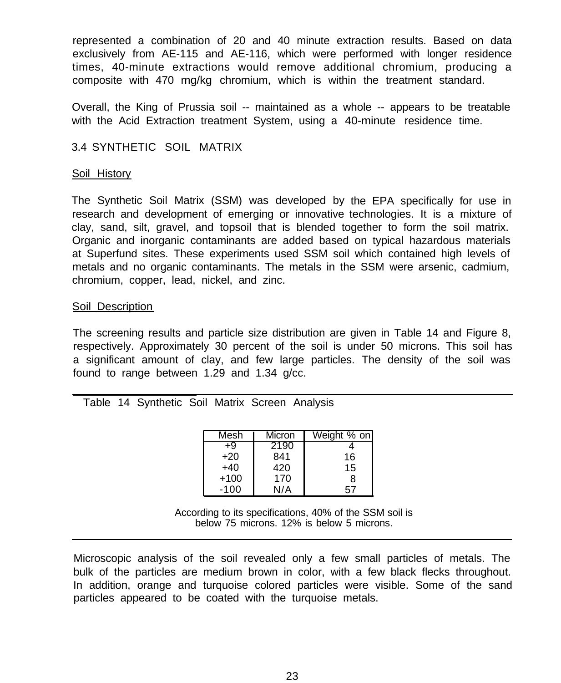represented a combination of 20 and 40 minute extraction results. Based on data exclusively from AE-115 and AE-116, which were performed with longer residence times, 40-minute extractions would remove additional chromium, producing a composite with 470 mg/kg chromium, which is within the treatment standard.

Overall, the King of Prussia soil -- maintained as a whole -- appears to be treatable with the Acid Extraction treatment System, using a 40-minute residence time.

# 3.4 SYNTHETIC SOIL MATRIX

#### Soil History

The Synthetic Soil Matrix (SSM) was developed by the EPA specifically for use in research and development of emerging or innovative technologies. It is a mixture of clay, sand, silt, gravel, and topsoil that is blended together to form the soil matrix. Organic and inorganic contaminants are added based on typical hazardous materials at Superfund sites. These experiments used SSM soil which contained high levels of metals and no organic contaminants. The metals in the SSM were arsenic, cadmium, chromium, copper, lead, nickel, and zinc.

#### Soil Description

The screening results and particle size distribution are given in Table 14 and Figure 8, respectively. Approximately 30 percent of the soil is under 50 microns. This soil has a significant amount of clay, and few large particles. The density of the soil was found to range between 1.29 and 1.34 g/cc.

### Table 14 Synthetic Soil Matrix Screen Analysis

| Mesh   | Micron | Weight % on |
|--------|--------|-------------|
| +9     | 2190   |             |
| +20    | 841    | 16          |
| +40    | 420    | 15          |
| $+100$ | 170    | 8           |
| $-100$ | N/A    |             |

According to its specifications, 40% of the SSM soil is below 75 microns. 12% is below 5 microns.

Microscopic analysis of the soil revealed only a few small particles of metals. The bulk of the particles are medium brown in color, with a few black flecks throughout. In addition, orange and turquoise colored particles were visible. Some of the sand particles appeared to be coated with the turquoise metals.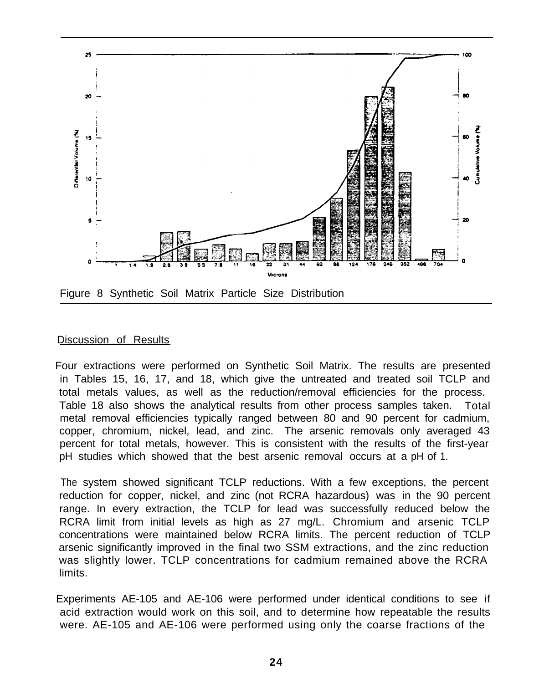

#### Discussion of Results

Four extractions were performed on Synthetic Soil Matrix. The results are presented in Tables 15, 16, 17, and 18, which give the untreated and treated soil TCLP and total metals values, as well as the reduction/removal efficiencies for the process. Table 18 also shows the analytical results from other process samples taken. Total metal removal efficiencies typically ranged between 80 and 90 percent for cadmium, copper, chromium, nickel, lead, and zinc. The arsenic removals only averaged 43 percent for total metals, however. This is consistent with the results of the first-year pH studies which showed that the best arsenic removal occurs at a pH of 1.

 The system showed significant TCLP reductions. With a few exceptions, the percent reduction for copper, nickel, and zinc (not RCRA hazardous) was in the 90 percent range. In every extraction, the TCLP for lead was successfully reduced below the RCRA limit from initial levels as high as 27 mg/L. Chromium and arsenic TCLP concentrations were maintained below RCRA limits. The percent reduction of TCLP arsenic significantly improved in the final two SSM extractions, and the zinc reduction was slightly lower. TCLP concentrations for cadmium remained above the RCRA limits.

Experiments AE-105 and AE-106 were performed under identical conditions to see if acid extraction would work on this soil, and to determine how repeatable the results were. AE-105 and AE-106 were performed using only the coarse fractions of the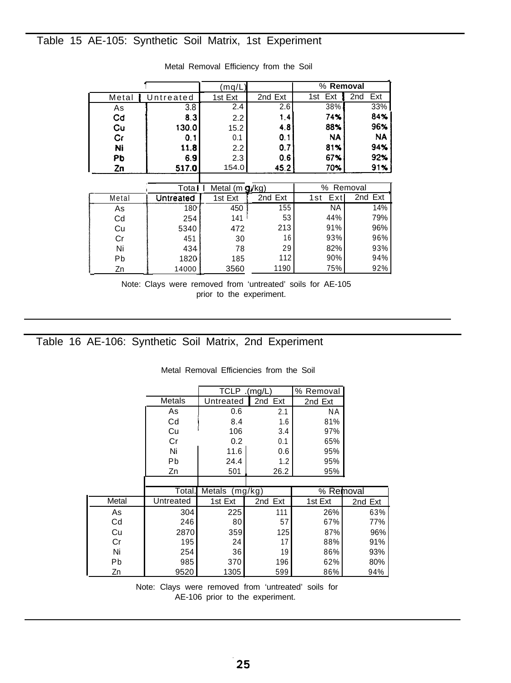# Table 15 AE-105: Synthetic Soil Matrix, 1st Experiment

| AE-105: Synthetic Soil Matrix, 1st Experiment                                                                     |                                |
|-------------------------------------------------------------------------------------------------------------------|--------------------------------|
|                                                                                                                   |                                |
| Metal Removal Efficiency from the Soil                                                                            |                                |
| % Removal<br>(mq/L)                                                                                               |                                |
| 1st Ext<br>Metal<br>2nd Ext                                                                                       | Ext<br>2nd                     |
| Untreated<br>1st Ext                                                                                              |                                |
| 2.6<br>38%<br>3.8<br>2.4<br>As<br>1.4<br>74%<br>Cd<br>8.3<br>2.2                                                  | 33%<br>84%                     |
| 88%<br>Cu<br>130.0<br>4.8<br>15.2                                                                                 | 96%                            |
| Cr<br>0.1<br>NA<br>0.1<br>0.1                                                                                     | <b>NA</b>                      |
| 0.7<br>81%<br>Ni<br>11.8<br>2.2                                                                                   | 94%                            |
| Pb<br>6.9<br>2.3<br>0.6<br>67%<br>45.2<br>154.0<br>70%<br><u>Zn</u><br>517.0                                      | 92%<br>91%                     |
|                                                                                                                   |                                |
| % Removal<br>Metal $(mg/kg)$<br>Tota I                                                                            |                                |
| 2nd Ext<br>Ex <sub>t</sub><br><b>Untreated</b><br>1st Ext<br>1st<br>Metal<br><b>NA</b><br>155<br>180<br>450<br>As | 2nd<br>$\overline{Ext}$<br>14% |
| 53<br>44%<br>141 <sup>1</sup><br>Cd<br>254                                                                        | 79%                            |
| 213<br>91%<br>Cu<br>472<br>5340                                                                                   | 96%                            |
| 93%<br>16<br>Cr<br>30<br>451                                                                                      | 96%                            |
| 78<br>29<br>82%<br>Ni<br>434<br>112<br>90%<br>Pb<br>1820<br>185                                                   | 93%<br>94%                     |

|       | Total     | Metal $(m g/kg)$ | ℅<br>Removal |            |         |
|-------|-----------|------------------|--------------|------------|---------|
| Metal | Untreated | 1st Ext          | 2nd Ext      | Ext<br>1st | 2nd Ext |
| As    | 180       | 450              | 155          | NA         | 14%     |
| Cd    | 254       | 141              | 53           | 44%        | 79%     |
| Cu    | 5340      | 472              | 213          | 91%        | 96%     |
| Cr    | 451       | 30               | 16           | 93%        | 96%     |
| Ni    | 434       | 78               | 29           | 82%        | 93%     |
| Pb    | 1820      | 185              | 112          | 90%        | 94%     |
| Zn    | 14000     | 3560             | 1190         | 75%        | 92%     |

Note: Clays were removed from 'untreated' soils for AE-105 prior to the experiment.

# Table 16 AE-106: Synthetic Soil Matrix, 2nd Experiment

|       |           | (mg/L) TCLP .(mg/L |         | % Removal |         |
|-------|-----------|--------------------|---------|-----------|---------|
|       | Metals    | Untreated          | 2nd Ext | 2nd Ext   |         |
|       | As        | 0.6                | 2.1     | ΝA        |         |
|       | Cd        | 8.4                | 1.6     | 81%       |         |
|       | Cu        | 106                | 3.4     | 97%       |         |
|       | Cr        | 0.2                | 0.1     | 65%       |         |
|       | Ni        | 11.6               | 0.6     | 95%       |         |
|       | Рb        | 24.4               | 1.2     | 95%       |         |
|       | Zn        | 501                | 26.2    | 95%       |         |
|       |           |                    |         |           |         |
|       | Total.    | Metals             | (mq/kg) | % Removal |         |
| Metal | Untreated | 1st Ext            | 2nd Ext | 1st Ext   | 2nd Ext |
| As    | 304       | 225                | 111     | 26%       | 63%     |
| Cd    | 246       | 80                 | 57      | 67%       | 77%     |
| Cu    | 2870      | 359                | 125     | 87%       | 96%     |
| Cr    | 195       | 24                 | 17      | 88%       | 91%     |
| Ni    | 254       | 36                 | 19      | 86%       | 93%     |
| Pb    | 985       | 370                | 196     | 62%       | 80%     |
| Zn    | 9520      | 1305               | 599     | 86%       | 94%     |

Metal Removal Efficiencies from the Soil

Note: Clays were removed from 'untreated' soils for AE-106 prior to the experiment.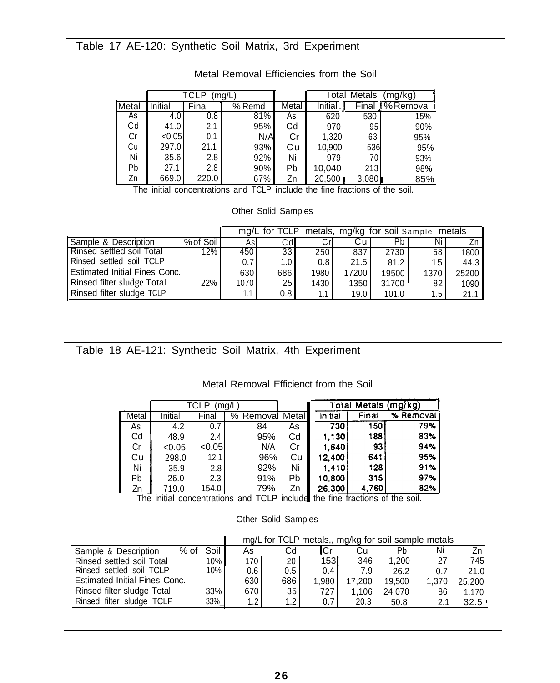# Table 17 AE-120: Synthetic Soil Matrix, 3rd Experiment

|       |         | TCLP  | mg/L   |       | Total   | Metals | (mg/kg)  |
|-------|---------|-------|--------|-------|---------|--------|----------|
| Metal | Initial | Final | % Remd | Metal | Initial | Final  | %Removal |
| As    | 4.0     | 0.8   | 81%    | As    | 620     | 530    | 15%      |
| Сd    | 41.0    | 2.1   | 95%    | Cd    | 970     | 95     | 90%      |
| Cr    | < 0.05  | 0.1   | N/A    | Cr    | 1,320   | 63     | 95%      |
| Cu    | 297.0   | 21.1  | 93%    | Сu    | 10,900  | 536    | 95%      |
| Ni    | 35.6    | 2.8   | 92%    | Ni    | 979     | 70     | 93%      |
| Pb    | 27.1    | 2.8   | 90%    | Pb    | 10,040  | 213    | 98%      |
| Zn    | 669.0   | 220.0 | 67%    | Zn    | 20,500  | 3.080  | 85%      |

# Metal Removal Efficiencies from the Soil

The initial concentrations and TCLP include the fine fractions of the soil.

#### Other Solid Samples

|                                      |           |      | ma/L for TCLP    |      |       | metals, mg/kg for soil Sample |      | metals |
|--------------------------------------|-----------|------|------------------|------|-------|-------------------------------|------|--------|
| Sample & Description                 | % of Soil | Asl  | Cdl              |      | Cu    | Pbl                           | Ni   |        |
| <b>Rinsed settled soil Total</b>     | 12% l     | 450  | 33               | 250  | 837   | 2730                          | 58   | 1800   |
| Rinsed settled soil TCLP             |           | 0.7  | 1.0 <sub>1</sub> | 0.8  | 21.5  | 81.2                          | 15   | 44.3   |
| <b>Estimated Initial Fines Conc.</b> |           | 630  | 686              | 1980 | 17200 | 19500                         | 1370 | 25200  |
| Rinsed filter sludge Total           | 22%       | 1070 | 25 <sub>1</sub>  | 1430 | 1350  | 31700                         | 82   | 1090   |
| Rinsed filter sludge TCLP            |           | 1.1  | $0.8 \mid$       | 1.1  | 19.0  | 101.0                         | 1.5  | 21.1   |

# Table 18 AE-121: Synthetic Soil Matrix, 4th Experiment

#### Metal Removal Efficienct from the Soil

|       |         | TCLP   | (mg/L                   |         |         | Total Metals                | (mg/kg)   |
|-------|---------|--------|-------------------------|---------|---------|-----------------------------|-----------|
| Metal | Initial | Final  | % Removal               | Metal   | Initial | Final                       | % Removal |
| As    | 4.2     | 0.7    | 84                      | As      | 730     | 150 <sub>1</sub>            | 79%       |
| Cd    | 48.9    | 2.4    | 95%                     | Cd      | 1.130   | 188                         | 83%       |
| Cr    | < 0.05  | < 0.05 | N/A                     | Cr      | 1.640   | 93                          | 94%       |
| Cu    | 298.0   | 12.1   | 96%                     | Cu      | 12,400  | 641                         | 95%       |
| Ni    | 35.9    | 2.8    | 92%                     | Ni      | 1.410   | 128                         | 91%       |
| Pb    | 26.0    | 2.3    | 91%                     | Pb      | 10.800  | 315                         | 97%       |
| Zn    | 719.0   | 154.0  | 79%                     | Zn      | 26,300  | 4,760                       | 82%       |
| The   | initial |        | concentrations and TCLP | include | the     | fine fractions of the soil. |           |

|                                      |      |      | mg/L for TCLP metals,, mg/kg for soil sample metals |                  |                  |        |        |       |        |
|--------------------------------------|------|------|-----------------------------------------------------|------------------|------------------|--------|--------|-------|--------|
| Sample & Description                 | % of | Soil | As                                                  | Cd               | lCr              | Сu     | Ph     | Ni    |        |
| Rinsed settled soil Total            |      | 10%  | 170 <sub>l</sub>                                    | 20 <sup>1</sup>  | 153              | 346    | 1.200  | 27    | 745    |
| Rinsed settled soil TCLP             |      | 10%  | 0.6                                                 | $0.5 \mid$       | 0.4              | 7.9    | 26.2   | 0.7   | 21.0   |
| <b>Estimated Initial Fines Conc.</b> |      |      | 630                                                 | 686              | 1.980            | 17.200 | 19,500 | 1.370 | 25,200 |
| Rinsed filter sludge Total           |      | 33%  | 670                                                 | 35 I             | 727.             | 1.106  | 24.070 | 86    | 1.170  |
| Rinsed filter sludge TCLP            |      | 33%_ | 1.2 <sub>l</sub>                                    | 1.2 <sub>1</sub> | 0.7 <sub>1</sub> | 20.3   | 50.8   | 2.1   | 32.5   |

#### Other Solid Samples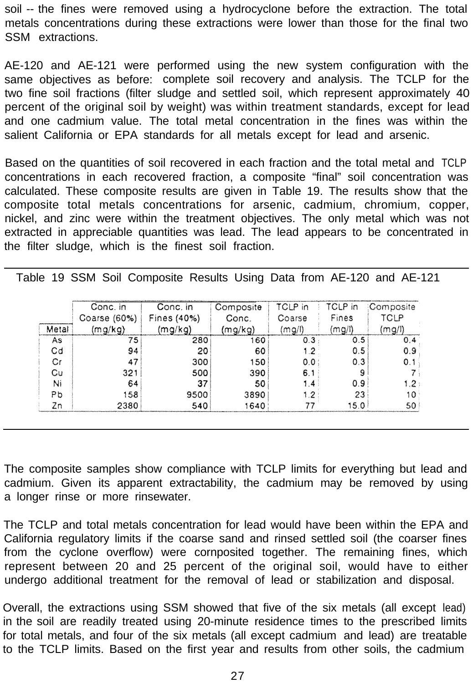soil -- the fines were removed using a hydrocyclone before the extraction. The total metals concentrations during these extractions were lower than those for the final two SSM extractions.

AE-120 and AE-121 were performed using the new system configuration with the same objectives as before: complete soil recovery and analysis. The TCLP for the two fine soil fractions (filter sludge and settled soil, which represent approximately 40 percent of the original soil by weight) was within treatment standards, except for lead and one cadmium value. The total metal concentration in the fines was within the salient California or EPA standards for all metals except for lead and arsenic.

Based on the quantities of soil recovered in each fraction and the total metal and TCLP concentrations in each recovered fraction, a composite "final" soil concentration was calculated. These composite results are given in Table 19. The results show that the composite total metals concentrations for arsenic, cadmium, chromium, copper, nickel, and zinc were within the treatment objectives. The only metal which was not extracted in appreciable quantities was lead. The lead appears to be concentrated in the filter sludge, which is the finest soil fraction.

Table 19 SSM Soil Composite Results Using Data from AE-120 and AE-121

|       | Conc. in     | Conc. in    | Composite | TCLP in | TCLP in | <i>Composite</i> |
|-------|--------------|-------------|-----------|---------|---------|------------------|
|       | Coarse (60%) | Fines (40%) | Conc.     | Coarse  | Fines   | <b>TCLP</b>      |
| Metal | (mg/kg)      | (mg/kg)     | (mg/kg)   | (mg/l)  | (mq/l)  | (mq/l)           |
| As    | 75           | 280         | 160       | 0.3     | 0.5     | 0.4              |
| Cd    | 94           | 20          | 60        |         | 0.5     | 0.9              |
| Сr    | 47           | 300         | 150       | 0.0     | 0.3     | 0.1              |
| Cu    | 321          | 500         | 390       | 6.1     |         |                  |
| Ni    | 64           | 37          | 50        | 14      | 0.9     | 1.2              |
| Pb    | 158          | 9500        | 3890      | 1.2.    | 23      | 10               |
| Zn    | 2380         | 540         | 1640      |         | 5.0     | 50               |

The composite samples show compliance with TCLP limits for everything but lead and cadmium. Given its apparent extractability, the cadmium may be removed by using a longer rinse or more rinsewater.

The TCLP and total metals concentration for lead would have been within the EPA and California regulatory limits if the coarse sand and rinsed settled soil (the coarser fines from the cyclone overflow) were cornposited together. The remaining fines, which represent between 20 and 25 percent of the original soil, would have to either undergo additional treatment for the removal of lead or stabilization and disposal.

Overall, the extractions using SSM showed that five of the six metals (all except lead) in the soil are readily treated using 20-minute residence times to the prescribed limits for total metals, and four of the six metals (all except cadmium and lead) are treatable to the TCLP limits. Based on the first year and results from other soils, the cadmium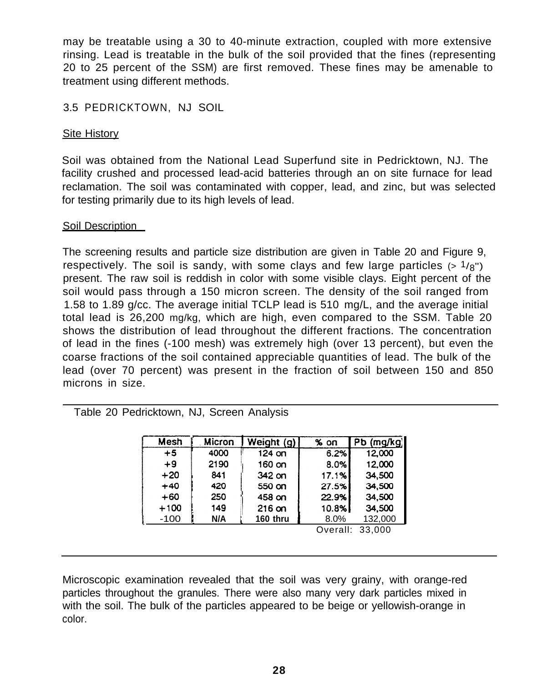may be treatable using a 30 to 40-minute extraction, coupled with more extensive rinsing. Lead is treatable in the bulk of the soil provided that the fines (representing 20 to 25 percent of the SSM) are first removed. These fines may be amenable to treatment using different methods.

# 3.5 PEDRICKTOWN, NJ SOIL

# **Site History**

Soil was obtained from the National Lead Superfund site in Pedricktown, NJ. The facility crushed and processed lead-acid batteries through an on site furnace for lead reclamation. The soil was contaminated with copper, lead, and zinc, but was selected for testing primarily due to its high levels of lead.

# Soil Description

The screening results and particle size distribution are given in Table 20 and Figure 9, respectively. The soil is sandy, with some clays and few large particles  $(> 1/g)$ present. The raw soil is reddish in color with some visible clays. Eight percent of the soil would pass through a 150 micron screen. The density of the soil ranged from 1.58 to 1.89 g/cc. The average initial TCLP lead is 510 mg/L, and the average initial total lead is 26,200 mg/kg, which are high, even compared to the SSM. Table 20 shows the distribution of lead throughout the different fractions. The concentration of lead in the fines (-100 mesh) was extremely high (over 13 percent), but even the coarse fractions of the soil contained appreciable quantities of lead. The bulk of the lead (over 70 percent) was present in the fraction of soil between 150 and 850 microns in size.

# Table 20 Pedricktown, NJ, Screen Analysis

| Mesh   | Micron | Weight (g) | $\%$ on  | (mq/kg)<br>PЬ |
|--------|--------|------------|----------|---------------|
| $+5$   | 4000   | 124 on     | 6.2%     | 12,000        |
| $+9$   | 2190   | 160 on     | 8.0%     | 12,000        |
| $+20$  | 841    | 342 on     | 17.1%    | 34,500        |
| $+40$  | 420    | 550 on     | 27.5%    | 34,500        |
| $+60$  | 250    | 458 on     | 22.9%    | 34,500        |
| $+100$ | 149    | $216$ on   | 10.8%    | 34,500        |
| $-100$ | N/A    | 160 thru   | 8.0%     | 132,000       |
|        |        |            | Overall: | 33.000        |

Microscopic examination revealed that the soil was very grainy, with orange-red particles throughout the granules. There were also many very dark particles mixed in with the soil. The bulk of the particles appeared to be beige or yellowish-orange in color.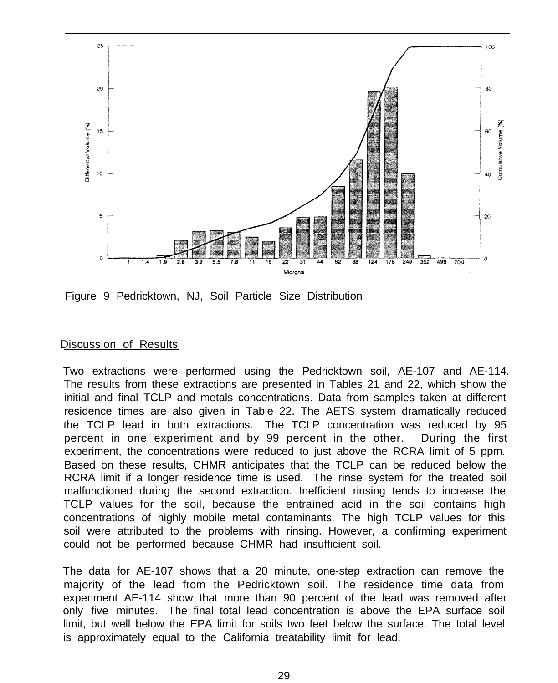

### Discussion of Results

Two extractions were performed using the Pedricktown soil, AE-107 and AE-114. The results from these extractions are presented in Tables 21 and 22, which show the initial and final TCLP and metals concentrations. Data from samples taken at different residence times are also given in Table 22. The AETS system dramatically reduced the TCLP lead in both extractions. The TCLP concentration was reduced by 95 percent in one experiment and by 99 percent in the other. During the first experiment, the concentrations were reduced to just above the RCRA limit of 5 ppm. Based on these results, CHMR anticipates that the TCLP can be reduced below the RCRA limit if a longer residence time is used. The rinse system for the treated soil malfunctioned during the second extraction. Inefficient rinsing tends to increase the TCLP values for the soil, because the entrained acid in the soil contains high concentrations of highly mobile metal contaminants. The high TCLP values for this soil were attributed to the problems with rinsing. However, a confirming experiment could not be performed because CHMR had insufficient soil.

 The data for AE-107 shows that a 20 minute, one-step extraction can remove the majority of the lead from the Pedricktown soil. The residence time data from experiment AE-114 show that more than 90 percent of the lead was removed after only five minutes. The final total lead concentration is above the EPA surface soil limit, but well below the EPA limit for soils two feet below the surface. The total level is approximately equal to the California treatability limit for lead.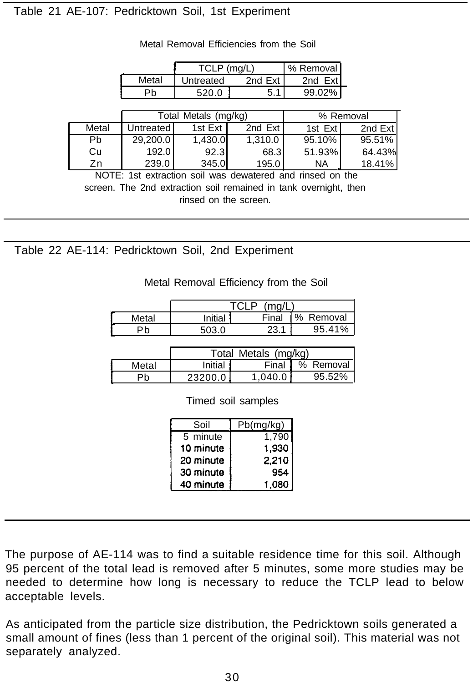# Table 21 AE-107: Pedricktown Soil, 1st Experiment

|       | Metal            | Untreated            | 2nd $Ext$ | 2nd Ext   |           |
|-------|------------------|----------------------|-----------|-----------|-----------|
|       | Pb               | 520.0                | 5.1       | 99.02%    |           |
|       |                  |                      |           |           |           |
|       |                  | Total Metals (mg/kg) |           |           | % Removal |
| Metal | <b>Untreated</b> | 1st Ext              | 2nd $Ext$ | 1st Ext   | 2nd Ext   |
| Pb    | 29,200.0         | 1,430.0              | 1,310.0   | 95.10%    | 95.51%    |
| Cu    | 192.0            | 92.3                 | 68.3      | 51.93%    | 64.43%    |
| Zn    | 239.0            | 345.0                | 195.0     | <b>NA</b> | 18.41%    |

**<sup>1</sup>** TCLP (mg/L) % Removal

Metal Removal Efficiencies from the Soil

NOTE: 1st extraction soil was dewatered and rinsed on the screen. The 2nd extraction soil remained in tank overnight, then rinsed on the screen.

Table 22 AE-114: Pedricktown Soil, 2nd Experiment

#### Metal Removal Efficiency from the Soil

|       | (mn/l)<br>റ |       |              |  |  |
|-------|-------------|-------|--------------|--|--|
| Metal | Initial     | Final | %<br>Removal |  |  |
|       |             |       | 95.41%       |  |  |

|       | Total Metals (mg/kg) |         |           |  |  |
|-------|----------------------|---------|-----------|--|--|
| Metal | Initial              | Final   | % Removal |  |  |
|       | 23200.0              | 1.040.0 | 95.52%    |  |  |

Timed soil samples

| Soil      | Pb(mg/kg) |
|-----------|-----------|
| 5 minute  | 1,790     |
| 10 minute | 1,930     |
| 20 minute | 2.210     |
| 30 minute | 954       |
| 40 minute | 1.080     |

The purpose of AE-114 was to find a suitable residence time for this soil. Although 95 percent of the total lead is removed after 5 minutes, some more studies may be needed to determine how long is necessary to reduce the TCLP lead to below acceptable levels.

As anticipated from the particle size distribution, the Pedricktown soils generated a small amount of fines (less than 1 percent of the original soil). This material was not separately analyzed.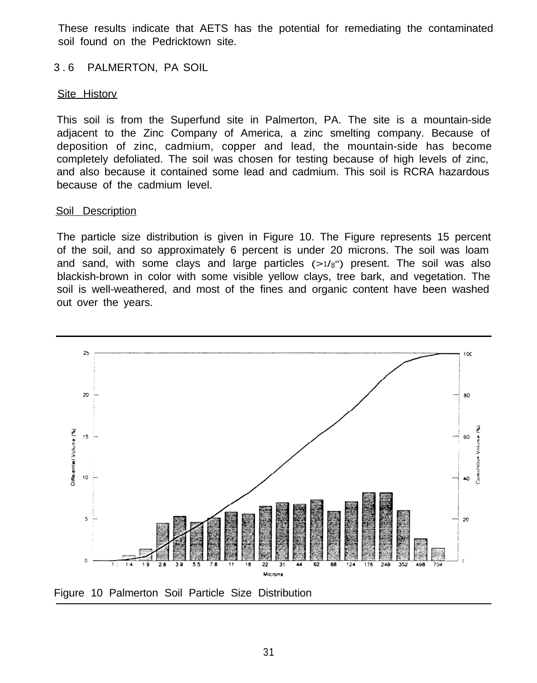These results indicate that AETS has the potential for remediating the contaminated soil found on the Pedricktown site.

# 3 . 6 PALMERTON, PA SOIL

# Site Historv

This soil is from the Superfund site in Palmerton, PA. The site is a mountain-side adjacent to the Zinc Company of America, a zinc smelting company. Because of deposition of zinc, cadmium, copper and lead, the mountain-side has become completely defoliated. The soil was chosen for testing because of high levels of zinc, and also because it contained some lead and cadmium. This soil is RCRA hazardous because of the cadmium level.

# Soil Description

The particle size distribution is given in Figure 10. The Figure represents 15 percent of the soil, and so approximately 6 percent is under 20 microns. The soil was loam and sand, with some clays and large particles  $(>1/8)$  present. The soil was also blackish-brown in color with some visible yellow clays, tree bark, and vegetation. The soil is well-weathered, and most of the fines and organic content have been washed out over the years.

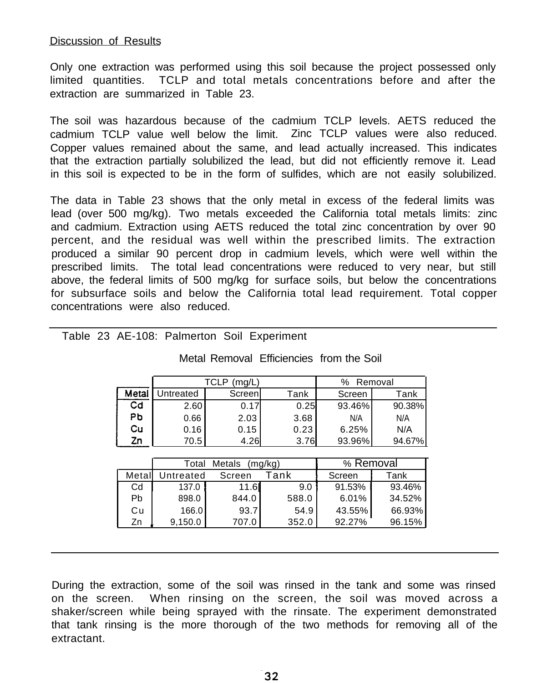#### Discussion of Results

Only one extraction was performed using this soil because the project possessed only limited quantities. TCLP and total metals concentrations before and after the extraction are summarized in Table 23.

The soil was hazardous because of the cadmium TCLP levels. AETS reduced the cadmium TCLP value well below the limit. Zinc TCLP values were also reduced. Copper values remained about the same, and lead actually increased. This indicates that the extraction partially solubilized the lead, but did not efficiently remove it. Lead in this soil is expected to be in the form of sulfides, which are not easily solubilized.

The data in Table 23 shows that the only metal in excess of the federal limits was lead (over 500 mg/kg). Two metals exceeded the California total metals limits: zinc and cadmium. Extraction using AETS reduced the total zinc concentration by over 90 percent, and the residual was well within the prescribed limits. The extraction produced a similar 90 percent drop in cadmium levels, which were well within the prescribed limits. The total lead concentrations were reduced to very near, but still above, the federal limits of 500 mg/kg for surface soils, but below the concentrations for subsurface soils and below the California total lead requirement. Total copper concentrations were also reduced.

|       |           | TCLP<br>(mg/L) | ℅    | Removal |        |
|-------|-----------|----------------|------|---------|--------|
| Metal | Jntreated | Screenl        | Tank | Screen  | Tank   |
| Cd    | 2.60      | 0.17           | 0.25 | 93.46%  | 90.38% |
| Рb    | 0.66      | 2.03           | 3.68 | N/A     | N/A    |
| Cu    | 0.16      | 0.15           | 0.23 | 6.25%   | N/A    |
| Ζn    | 70.5      | 4.26           | 3.76 | 93.96%  | 94.67% |

#### Table 23 AE-108: Palmerton Soil Experiment

|        | <b>Metals</b><br>(mg/kg)<br>Total |        |       | % Removal |        |
|--------|-----------------------------------|--------|-------|-----------|--------|
| Metall | Untreated                         | Screen | Tank  | Screen    | Tank   |
| Cd     | 137.0                             | 11.6   | 9.0   | 91.53%    | 93.46% |
| Pb     | 898.0                             | 844.0  | 588.0 | 6.01%     | 34.52% |
| Сu     | 166.0                             | 93.7   | 54.9  | 43.55%    | 66.93% |
| Zn     | 9,150.0                           | 707.0  | 352.0 | 92.27%    | 96.15% |

During the extraction, some of the soil was rinsed in the tank and some was rinsed on the screen. When rinsing on the screen, the soil was moved across a shaker/screen while being sprayed with the rinsate. The experiment demonstrated that tank rinsing is the more thorough of the two methods for removing all of the extractant.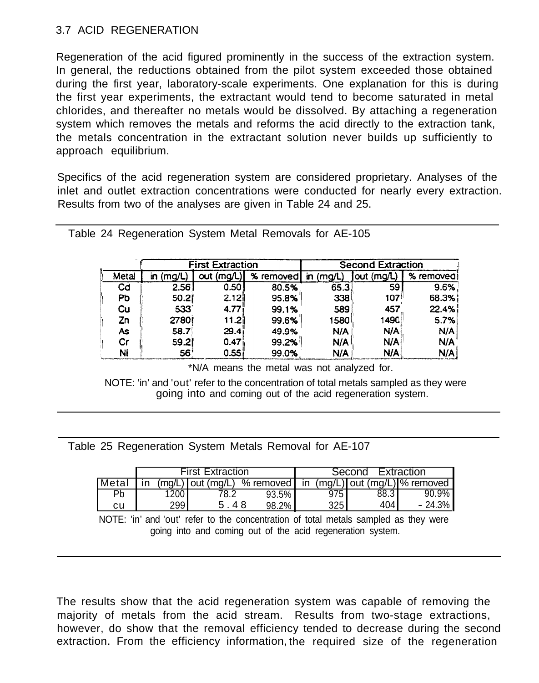# 3.7 ACID REGENERATION

Regeneration of the acid figured prominently in the success of the extraction system. In general, the reductions obtained from the pilot system exceeded those obtained during the first year, laboratory-scale experiments. One explanation for this is during the first year experiments, the extractant would tend to become saturated in metal chlorides, and thereafter no metals would be dissolved. By attaching a regeneration system which removes the metals and reforms the acid directly to the extraction tank, the metals concentration in the extractant solution never builds up sufficiently to approach equilibrium.

Specifics of the acid regeneration system are considered proprietary. Analyses of the inlet and outlet extraction concentrations were conducted for nearly every extraction. Results from two of the analyses are given in Table 24 and 25.

|       |        | <b>First Extraction</b> |            | <b>Second Extraction</b> |            |            |
|-------|--------|-------------------------|------------|--------------------------|------------|------------|
| Metal | (mg/L. | out (mg/L)              | % removed! | (ma/L)<br>łη             | out (mg/L) | % removedi |
| Cd    | 2.56   | 0.50                    | 80.5%      | 65.3                     | 59         | 9.6%       |
| Рb    | 50.2   | 2.12 <sub>1</sub>       | 95.8%      | 338                      | <b>107</b> | 68.3%      |
| Cu    | 533    | 4.77i                   | 99.1%      | 589                      | 457        | 22.4%      |
| Zn    | 27801  | ا21.21                  | 99.6%      | 1580                     | 1490       | 5.7%       |
| As    | 58.7   | 29.4 <sub>1</sub>       | 49.9%      | N/A                      | N/A        | N/A        |
| Сr    | 59.2   | 0.47                    | 99.2%      | N/A                      | N/A        | N/A        |
| Ni    | 56'    | 0.55                    | 99.0%      | N/A                      | N/A        | N/A        |

Table 24 Regeneration System Metal Removals for AE-105

\*N/A means the metal was not analyzed for.

NOTE: 'in' and 'out' refer to the concentration of total metals sampled as they were going into and coming out of the acid regeneration system.

Table 25 Regeneration System Metals Removal for AE-107

|       |      | <b>First Extraction</b>                                                |       |     | Second | Extraction |
|-------|------|------------------------------------------------------------------------|-------|-----|--------|------------|
| Metal |      | $(mq/L)$ out $(mq/L)$  % removed   in $(mq/L)$ out $(mq/L)$  % removed |       |     |        |            |
| Pb    | 200  |                                                                        | 93.5% | 975 | 88.3   | 90.9%      |
| cu    | 299. | 418                                                                    | 98.2% | 325 | 404    | $-24.3%$   |

NOTE: 'in' and 'out' refer to the concentration of total metals sampled as they were going into and coming out of the acid regeneration system.

The results show that the acid regeneration system was capable of removing the majority of metals from the acid stream. Results from two-stage extractions, however, do show that the removal efficiency tended to decrease during the second extraction. From the efficiency information, the required size of the regeneration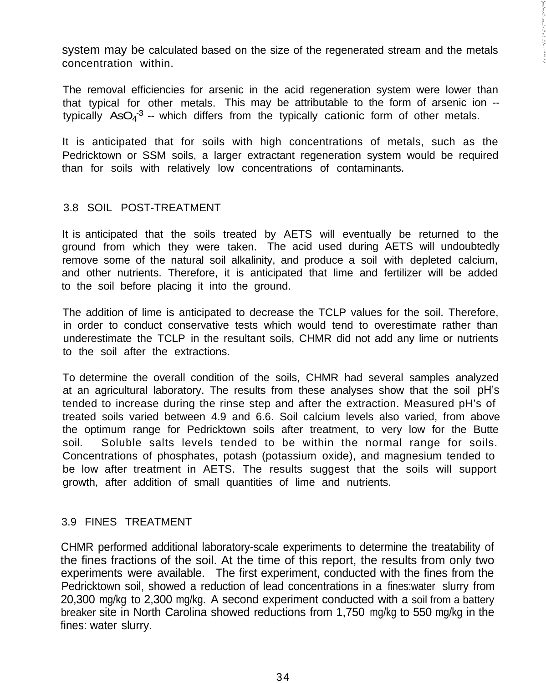system may be calculated based on the size of the regenerated stream and the metals concentration within.

The removal efficiencies for arsenic in the acid regeneration system were lower than that typical for other metals. This may be attributable to the form of arsenic ion - typically  $ASO<sub>4</sub>$ <sup>3</sup> -- which differs from the typically cationic form of other metals.

It is anticipated that for soils with high concentrations of metals, such as the Pedricktown or SSM soils, a larger extractant regeneration system would be required than for soils with relatively low concentrations of contaminants.

# 3.8 SOIL POST-TREATMENT

It is anticipated that the soils treated by AETS will eventually be returned to the ground from which they were taken. The acid used during AETS will undoubtedly remove some of the natural soil alkalinity, and produce a soil with depleted calcium, and other nutrients. Therefore, it is anticipated that lime and fertilizer will be added to the soil before placing it into the ground.

The addition of lime is anticipated to decrease the TCLP values for the soil. Therefore, in order to conduct conservative tests which would tend to overestimate rather than underestimate the TCLP in the resultant soils, CHMR did not add any lime or nutrients to the soil after the extractions.

To determine the overall condition of the soils, CHMR had several samples analyzed at an agricultural laboratory. The results from these analyses show that the soil pH's tended to increase during the rinse step and after the extraction. Measured pH's of treated soils varied between 4.9 and 6.6. Soil calcium levels also varied, from above the optimum range for Pedricktown soils after treatment, to very low for the Butte soil. Soluble salts levels tended to be within the normal range for soils. Concentrations of phosphates, potash (potassium oxide), and magnesium tended to be low after treatment in AETS. The results suggest that the soils will support growth, after addition of small quantities of lime and nutrients.

# 3.9 FINES TREATMENT

CHMR performed additional laboratory-scale experiments to determine the treatability of the fines fractions of the soil. At the time of this report, the results from only two experiments were available. The first experiment, conducted with the fines from the Pedricktown soil, showed a reduction of lead concentrations in a fines:water slurry from 20,300 mg/kg to 2,300 mg/kg. A second experiment conducted with a soil from a battery breaker site in North Carolina showed reductions from 1,750 mg/kg to 550 mg/kg in the fines: water slurry.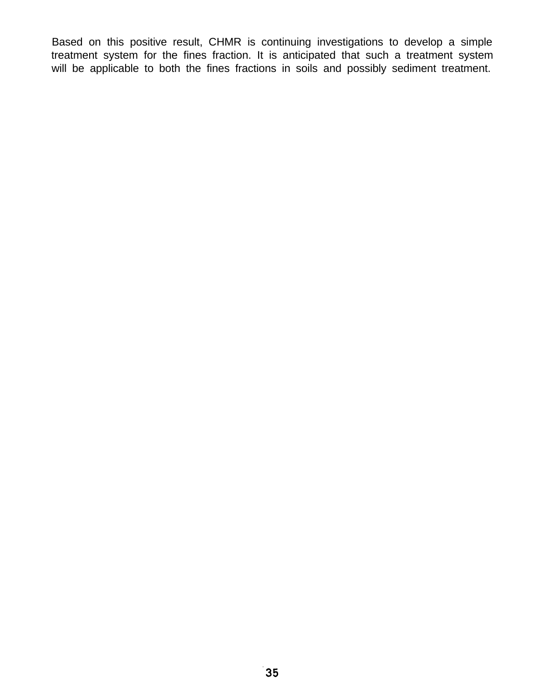Based on this positive result, CHMR is continuing investigations to develop a simple treatment system for the fines fraction. It is anticipated that such a treatment system will be applicable to both the fines fractions in soils and possibly sediment treatment.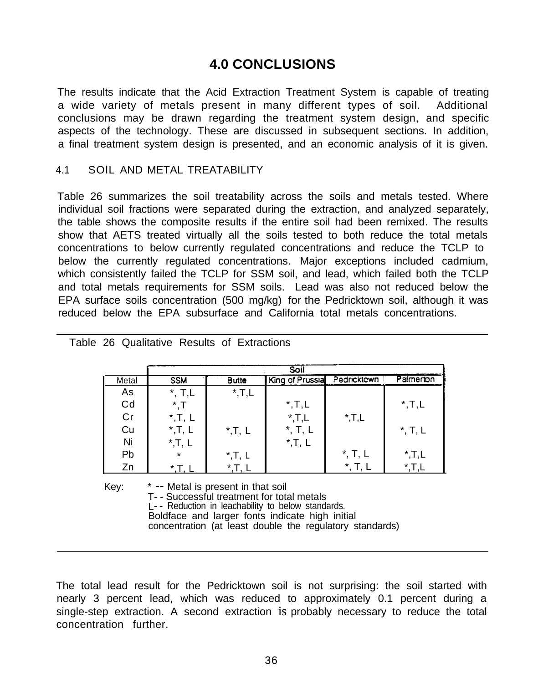# **4.0 CONCLUSIONS**

The results indicate that the Acid Extraction Treatment System is capable of treating a wide variety of metals present in many different types of soil. Additional conclusions may be drawn regarding the treatment system design, and specific aspects of the technology. These are discussed in subsequent sections. In addition, a final treatment system design is presented, and an economic analysis of it is given.

# 4.1 SOlL AND METAL TREATABILITY

Table 26 summarizes the soil treatability across the soils and metals tested. Where individual soil fractions were separated during the extraction, and analyzed separately, the table shows the composite results if the entire soil had been remixed. The results show that AETS treated virtually all the soils tested to both reduce the total metals concentrations to below currently regulated concentrations and reduce the TCLP to below the currently regulated concentrations. Major exceptions included cadmium, which consistently failed the TCLP for SSM soil, and lead, which failed both the TCLP and total metals requirements for SSM soils. Lead was also not reduced below the EPA surface soils concentration (500 mg/kg) for the Pedricktown soil, although it was reduced below the EPA subsurface and California total metals concentrations.

|       |                   |                   | Soil                |                 |                   |
|-------|-------------------|-------------------|---------------------|-----------------|-------------------|
| Metal | <b>SSM</b>        | <b>Butte</b>      | King of Prussia     | Pedricktown     | Palmenton         |
| As    | $^*$ , T,L        | $^{\star}$ , T, L |                     |                 |                   |
| Cd    | * T               |                   | $^{\star}$ , T, L   |                 | $^{\star}$ , T, L |
| Cr    | $^{\star}$ , T, L |                   | $^{\star}$ , T, L   | $^{\star}$ ,T,L |                   |
| Cu    | $^{\star}$ , T, L | $^{\star}$ , T, L | $\ddot{\mathbf{r}}$ |                 | $^{\star}$ , T, L |
| Ni    | $^{\star}$ , T, L |                   | $^{\star}$ , T, L   |                 |                   |
| Pb    | $\star$           | $^*$ , T, L       |                     | $^*$ , T, L     | $^{\star}$ , T, L |
| Zn    | $*$ T             | $\star$           |                     | *               |                   |

|  |  |  |  |  | Table 26 Qualitative Results of Extractions |
|--|--|--|--|--|---------------------------------------------|
|--|--|--|--|--|---------------------------------------------|

Key: \* -- Metal is present in that soil

T- - Successful treatment for total metals

L- - Reduction in leachability to below standards.

Boldface and larger fonts indicate high initial

concentration (at least double the regulatory standards)

The total lead result for the Pedricktown soil is not surprising: the soil started with nearly 3 percent lead, which was reduced to approximately 0.1 percent during a single-step extraction. A second extraction is probably necessary to reduce the total concentration further.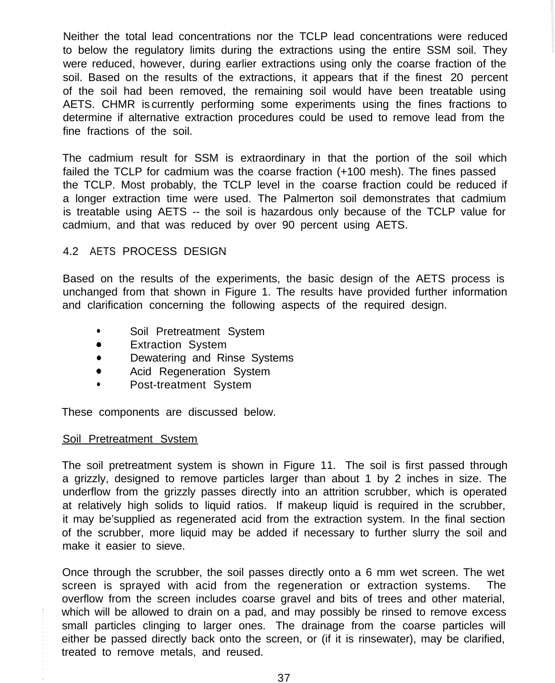Neither the total lead concentrations nor the TCLP lead concentrations were reduced to below the regulatory limits during the extractions using the entire SSM soil. They were reduced, however, during earlier extractions using only the coarse fraction of the soil. Based on the results of the extractions, it appears that if the finest 20 percent of the soil had been removed, the remaining soil would have been treatable using AETS. CHMR is currently performing some experiments using the fines fractions to determine if alternative extraction procedures could be used to remove lead from the fine fractions of the soil.

The cadmium result for SSM is extraordinary in that the portion of the soil which failed the TCLP for cadmium was the coarse fraction (+100 mesh). The fines passed the TCLP. Most probably, the TCLP level in the coarse fraction could be reduced if a longer extraction time were used. The Palmerton soil demonstrates that cadmium is treatable using AETS -- the soil is hazardous only because of the TCLP value for cadmium, and that was reduced by over 90 percent using AETS.

# 4.2 AETS PROCESS DESIGN

Based on the results of the experiments, the basic design of the AETS process is unchanged from that shown in Figure 1. The results have provided further information and clarification concerning the following aspects of the required design.

- Soil Pretreatment System
- **•** Extraction System
- Dewatering and Rinse Systems
- **•** Acid Regeneration System
- Post-treatment System

These components are discussed below.

#### Soil Pretreatment Svstem

The soil pretreatment system is shown in Figure 11. The soil is first passed through a grizzly, designed to remove particles larger than about 1 by 2 inches in size. The underflow from the grizzly passes directly into an attrition scrubber, which is operated at relatively high solids to liquid ratios. If makeup liquid is required in the scrubber, it may be'supplied as regenerated acid from the extraction system. In the final section of the scrubber, more liquid may be added if necessary to further slurry the soil and make it easier to sieve.

Once through the scrubber, the soil passes directly onto a 6 mm wet screen. The wet screen is sprayed with acid from the regeneration or extraction systems. The overflow from the screen includes coarse gravel and bits of trees and other material, which will be allowed to drain on a pad, and may possibly be rinsed to remove excess small particles clinging to larger ones. The drainage from the coarse particles will either be passed directly back onto the screen, or (if it is rinsewater), may be clarified, treated to remove metals, and reused.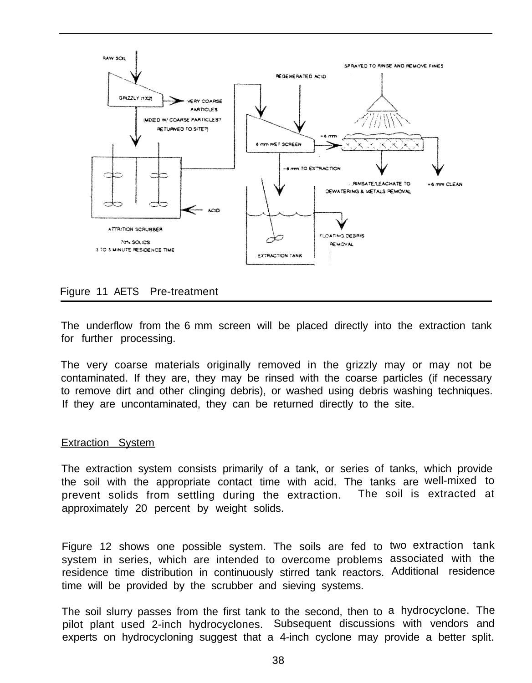

# Figure 11 AETS Pre-treatment

The underflow from the 6 mm screen will be placed directly into the extraction tank for further processing.

The very coarse materials originally removed in the grizzly may or may not be contaminated. If they are, they may be rinsed with the coarse particles (if necessary to remove dirt and other clinging debris), or washed using debris washing techniques. If they are uncontaminated, they can be returned directly to the site.

#### Extraction System

The extraction system consists primarily of a tank, or series of tanks, which provide the soil with the appropriate contact time with acid. The tanks are well-mixed to prevent solids from settling during the extraction. The soil is extracted at approximately 20 percent by weight solids.

Figure 12 shows one possible system. The soils are fed to two extraction tank system in series, which are intended to overcome problems associated with the residence time distribution in continuously stirred tank reactors. Additional residence time will be provided by the scrubber and sieving systems.

The soil slurry passes from the first tank to the second, then to a hydrocyclone. The pilot plant used 2-inch hydrocyclones. Subsequent discussions with vendors and experts on hydrocycloning suggest that a 4-inch cyclone may provide a better split.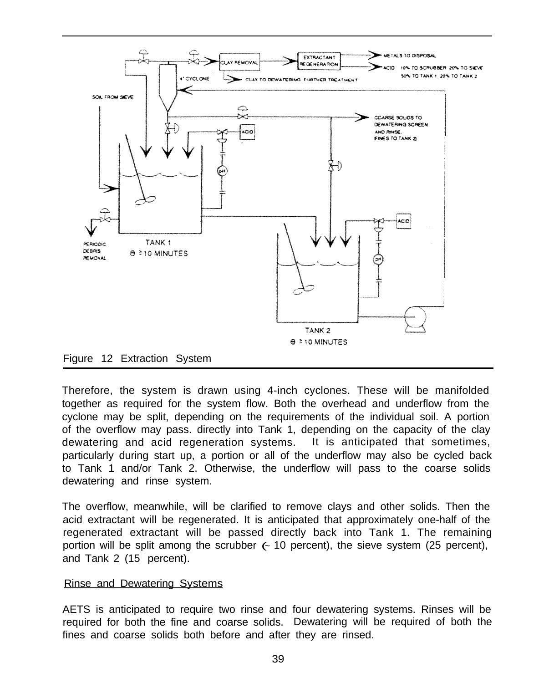



Therefore, the system is drawn using 4-inch cyclones. These will be manifolded together as required for the system flow. Both the overhead and underflow from the cyclone may be split, depending on the requirements of the individual soil. A portion of the overflow may pass. directly into Tank 1, depending on the capacity of the clay dewatering and acid regeneration systems. It is anticipated that sometimes, particularly during start up, a portion or all of the underflow may also be cycled back to Tank 1 and/or Tank 2. Otherwise, the underflow will pass to the coarse solids dewatering and rinse system.

The overflow, meanwhile, will be clarified to remove clays and other solids. Then the acid extractant will be regenerated. It is anticipated that approximately one-half of the regenerated extractant will be passed directly back into Tank 1. The remaining portion will be split among the scrubber (~ 10 percent), the sieve system (25 percent), and Tank 2 (15 percent).

# Rinse and Dewatering Systems

AETS is anticipated to require two rinse and four dewatering systems. Rinses will be required for both the fine and coarse solids. Dewatering will be required of both the fines and coarse solids both before and after they are rinsed.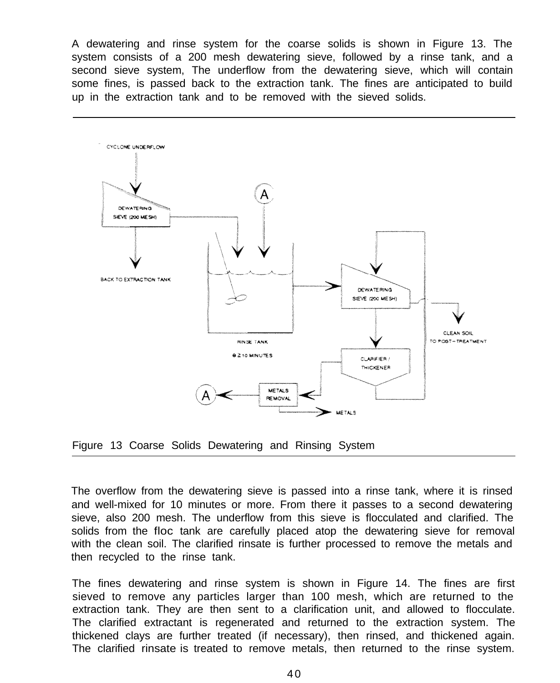A dewatering and rinse system for the coarse solids is shown in Figure 13. The system consists of a 200 mesh dewatering sieve, followed by a rinse tank, and a second sieve system, The underflow from the dewatering sieve, which will contain some fines, is passed back to the extraction tank. The fines are anticipated to build up in the extraction tank and to be removed with the sieved solids.



Figure 13 Coarse Solids Dewatering and Rinsing System

The overflow from the dewatering sieve is passed into a rinse tank, where it is rinsed and well-mixed for 10 minutes or more. From there it passes to a second dewatering sieve, also 200 mesh. The underflow from this sieve is flocculated and clarified. The solids from the floc tank are carefully placed atop the dewatering sieve for removal with the clean soil. The clarified rinsate is further processed to remove the metals and then recycled to the rinse tank.

The fines dewatering and rinse system is shown in Figure 14. The fines are first sieved to remove any particles larger than 100 mesh, which are returned to the extraction tank. They are then sent to a clarification unit, and allowed to flocculate. The clarified extractant is regenerated and returned to the extraction system. The thickened clays are further treated (if necessary), then rinsed, and thickened again. The clarified rinsate is treated to remove metals, then returned to the rinse system.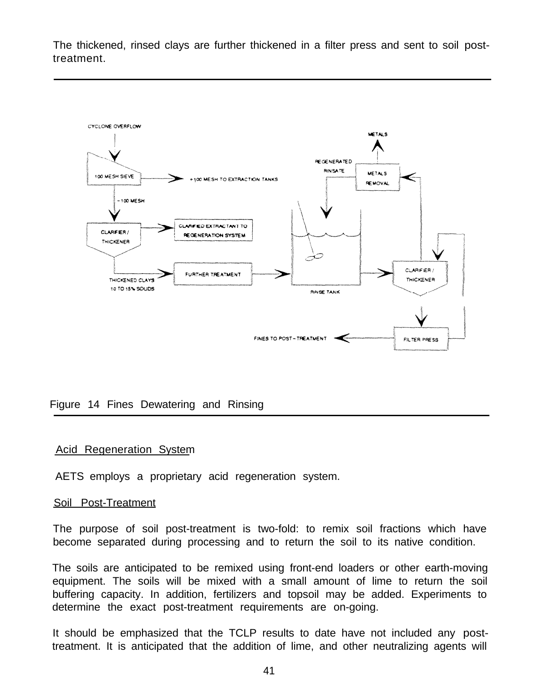The thickened, rinsed clays are further thickened in a filter press and sent to soil posttreatment.



Figure 14 Fines Dewatering and Rinsing

#### Acid Regeneration System

AETS employs a proprietary acid regeneration system.

#### Soil Post-Treatment

 The purpose of soil post-treatment is two-fold: to remix soil fractions which have become separated during processing and to return the soil to its native condition.

The soils are anticipated to be remixed using front-end loaders or other earth-moving equipment. The soils will be mixed with a small amount of lime to return the soil buffering capacity. In addition, fertilizers and topsoil may be added. Experiments to determine the exact post-treatment requirements are on-going.

It should be emphasized that the TCLP results to date have not included any posttreatment. It is anticipated that the addition of lime, and other neutralizing agents will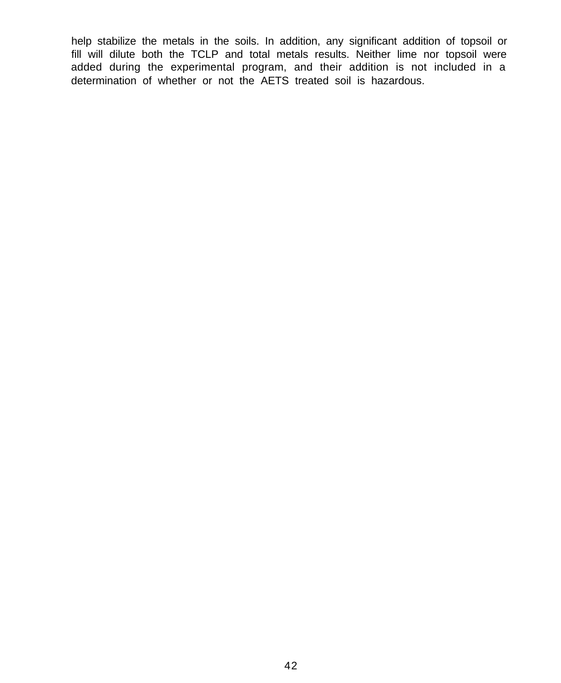help stabilize the metals in the soils. In addition, any significant addition of topsoil or fill will dilute both the TCLP and total metals results. Neither lime nor topsoil were added during the experimental program, and their addition is not included in a determination of whether or not the AETS treated soil is hazardous.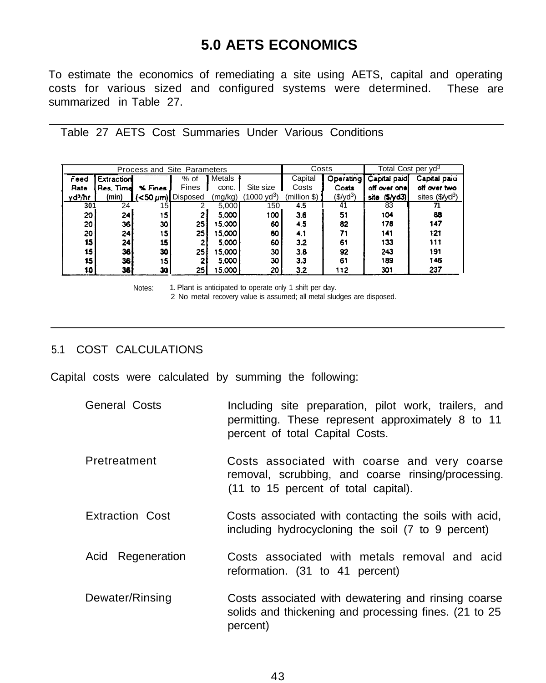# **5.0 AETS ECONOMICS**

To estimate the economics of remediating a site using AETS, capital and operating costs for various sized and configured systems were determined. These are summarized in Table 27.

Table 27 AETS Cost Summaries Under Various Conditions

| Process and Site Parameters |            |          |                          |          |                                                                                              | Costs        |                          | Total Cost per yd <sup>3</sup> |                             |
|-----------------------------|------------|----------|--------------------------|----------|----------------------------------------------------------------------------------------------|--------------|--------------------------|--------------------------------|-----------------------------|
| Feed                        | Extraction |          | % of                     | Metals   |                                                                                              | Capital      | Operating                | Capital paid                   | Capital paid                |
| Rate                        | Res. Time  | % Fines  | Fines                    | conc.    | Site size                                                                                    | Costs        | Costs                    | off over one!                  | off over two                |
| yd?/hr                      | (min)      |          | $(<50 \ \mu m)$ Disposed | (mg/kg)  | $(1000 \text{ vd}^3)$                                                                        | (million \$) | $(\$$ /yd <sup>3</sup> ) | site $(5/\gamma d3)$           | sites (\$/yd <sup>3</sup> ) |
| 301                         | 24         | 15       |                          | 5,000    | 150                                                                                          | 4.5          | 41                       | 83                             | 71                          |
| 20 l                        | 24         | 15.      | 2                        | 5,000    | ا 100                                                                                        | 3.6          | 51                       | 104                            | 88                          |
| 20                          | 36         | 30       | 25                       | 15.000   | 60                                                                                           | 4.5          | 82                       | 178                            | 147                         |
| 20                          | 241        | 15       | 25                       | 15.000   | 80                                                                                           | 4.1          | 71                       | 141                            | 121                         |
| 15 <sub>l</sub>             | 24         | 15       | 2                        | 5.000    | 60                                                                                           | 3.2          | 61                       | 133                            | 111                         |
| 15                          | 36         | 30       | 25                       | 15.000 l | 30 l                                                                                         | 3.8          | 92                       | 243                            | 191                         |
| 15                          | 36         | 15.      | 2                        | 5,000    | 30                                                                                           | 3.3          | 61                       | 189                            | 146                         |
| 10                          | 361        | 30       | 25                       | 15.000   | 20                                                                                           | 3.2          | 112                      | 301                            | 237                         |
|                             |            | $\cdots$ |                          |          | de l'Estados de la contrata del contra de la consegue de la contrata del Marco de la contrad |              |                          |                                |                             |

Notes: 1. Plant is anticipated to operate only 1 shift per day.

2 No metal recovery value is assumed; all metal sludges are disposed.

# 5.1 COST CALCULATIONS

Capital costs were calculated by summing the following:

- General Costs **Including site preparation**, pilot work, trailers, and permitting. These represent approximately 8 to 11 percent of total Capital Costs.
- Pretreatment Costs associated with coarse and very coarse removal, scrubbing, and coarse rinsing/processing. (11 to 15 percent of total capital).
- Extraction Cost Costs associated with contacting the soils with acid, including hydrocycloning the soil (7 to 9 percent)
- Acid Regeneration Costs associated with metals removal and acid reformation. (31 to 41 percent)
- Dewater/Rinsing **Costs associated with dewatering and rinsing coarse** solids and thickening and processing fines. (21 to 25 percent)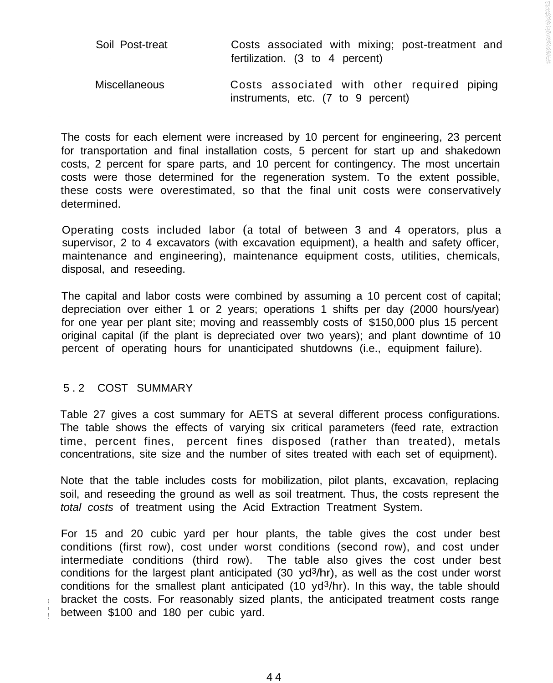| Soil Post-treat      | Costs associated with mixing; post-treatment and<br>fertilization. (3 to 4 percent) |
|----------------------|-------------------------------------------------------------------------------------|
| <b>Miscellaneous</b> | Costs associated with other required piping<br>instruments, etc. (7 to 9 percent)   |

The costs for each element were increased by 10 percent for engineering, 23 percent for transportation and final installation costs, 5 percent for start up and shakedown costs, 2 percent for spare parts, and 10 percent for contingency. The most uncertain costs were those determined for the regeneration system. To the extent possible, these costs were overestimated, so that the final unit costs were conservatively determined.

Operating costs included labor (a total of between 3 and 4 operators, plus a supervisor, 2 to 4 excavators (with excavation equipment), a health and safety officer, maintenance and engineering), maintenance equipment costs, utilities, chemicals, disposal, and reseeding.

The capital and labor costs were combined by assuming a 10 percent cost of capital; depreciation over either 1 or 2 years; operations 1 shifts per day (2000 hours/year) for one year per plant site; moving and reassembly costs of \$150,000 plus 15 percent original capital (if the plant is depreciated over two years); and plant downtime of 10 percent of operating hours for unanticipated shutdowns (i.e., equipment failure).

### 5. 2 COST SUMMARY

Table 27 gives a cost summary for AETS at several different process configurations. The table shows the effects of varying six critical parameters (feed rate, extraction time, percent fines, percent fines disposed (rather than treated), metals concentrations, site size and the number of sites treated with each set of equipment).

Note that the table includes costs for mobilization, pilot plants, excavation, replacing soil, and reseeding the ground as well as soil treatment. Thus, the costs represent the *total costs* of treatment using the Acid Extraction Treatment System.

For 15 and 20 cubic yard per hour plants, the table gives the cost under best conditions (first row), cost under worst conditions (second row), and cost under intermediate conditions (third row). The table also gives the cost under best conditions for the largest plant anticipated (30  $yd^3$ /hr), as well as the cost under worst conditions for the smallest plant anticipated  $(10 \text{ yd}^3/\text{hr})$ . In this way, the table should bracket the costs. For reasonably sized plants, the anticipated treatment costs range between \$100 and 180 per cubic yard.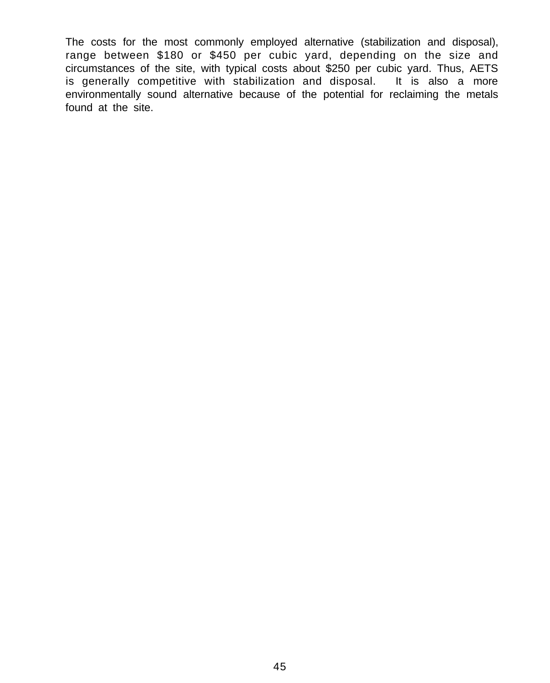The costs for the most commonly employed alternative (stabilization and disposal), range between \$180 or \$450 per cubic yard, depending on the size and circumstances of the site, with typical costs about \$250 per cubic yard. Thus, AETS is generally competitive with stabilization and disposal. It is also a more environmentally sound alternative because of the potential for reclaiming the metals found at the site.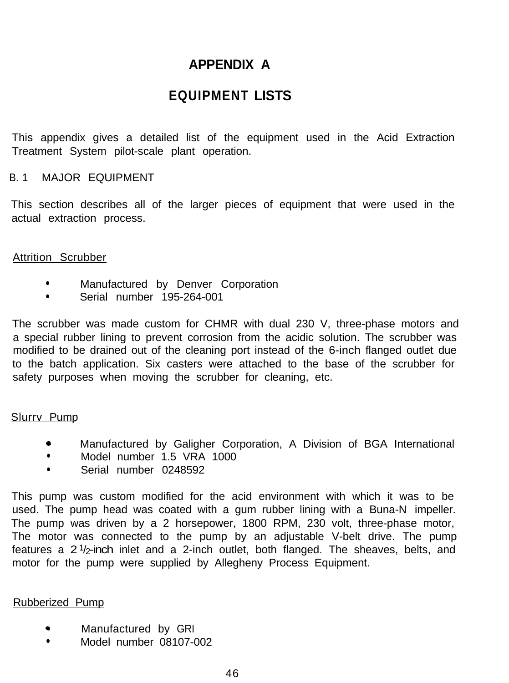# **APPENDIX A**

# **EQUIPMENT LISTS**

This appendix gives a detailed list of the equipment used in the Acid Extraction Treatment System pilot-scale plant operation.

# B. 1 MAJOR EQUIPMENT

 This section describes all of the larger pieces of equipment that were used in the actual extraction process.

### Attrition Scrubber

- **•** Manufactured by Denver Corporation
- **•** Serial number 195-264-001

The scrubber was made custom for CHMR with dual 230 V, three-phase motors and a special rubber lining to prevent corrosion from the acidic solution. The scrubber was modified to be drained out of the cleaning port instead of the 6-inch flanged outlet due to the batch application. Six casters were attached to the base of the scrubber for safety purposes when moving the scrubber for cleaning, etc.

### Slurrv Pump

- 0 Manufactured by Galigher Corporation, A Division of BGA International
- Model number 1.5 VRA 1000
- **·** Serial number 0248592

This pump was custom modified for the acid environment with which it was to be used. The pump head was coated with a gum rubber lining with a Buna-N impeller. The pump was driven by a 2 horsepower, 1800 RPM, 230 volt, three-phase motor, The motor was connected to the pump by an adjustable V-belt drive. The pump features a  $2\frac{1}{2}$ -inch inlet and a 2-inch outlet, both flanged. The sheaves, belts, and motor for the pump were supplied by Allegheny Process Equipment.

# Rubberized Pump

- **•** Manufactured by GRI
- Model number 08107-002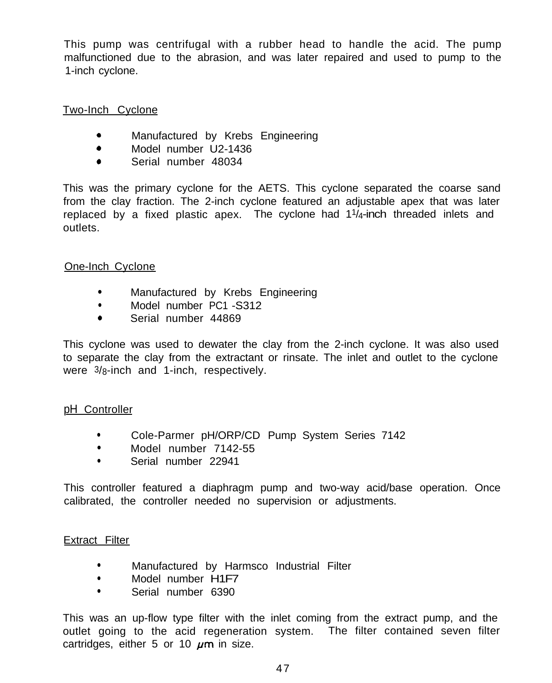This pump was centrifugal with a rubber head to handle the acid. The pump malfunctioned due to the abrasion, and was later repaired and used to pump to the 1-inch cyclone.

# Two-Inch Cyclone

- **•** Manufactured by Krebs Engineering
- Model number U2-1436
- <sup>0</sup> Serial number 48034

This was the primary cyclone for the AETS. This cyclone separated the coarse sand from the clay fraction. The 2-inch cyclone featured an adjustable apex that was later replaced by a fixed plastic apex. The cyclone had 11/4-inch threaded inlets and outlets.

# One-Inch Cyclone

- Manufactured by Krebs Engineering
- Model number PC1 -S312
- <sup>0</sup> Serial number 44869

This cyclone was used to dewater the clay from the 2-inch cyclone. It was also used to separate the clay from the extractant or rinsate. The inlet and outlet to the cyclone were 3/8-inch and 1-inch, respectively.

# pH Controller

- Cole-Parmer pH/ORP/CD Pump System Series 7142
- Model number 7142-55
- **·** Serial number 22941

This controller featured a diaphragm pump and two-way acid/base operation. Once calibrated, the controller needed no supervision or adjustments.

# Extract Filter

- **•** Manufactured by Harmsco Industrial Filter
- Model number H1F7
- **In Serial number 6390**

 This was an up-flow type filter with the inlet coming from the extract pump, and the outlet going to the acid regeneration system. The filter contained seven filter cartridges, either 5 or 10  $\mu$ m in size.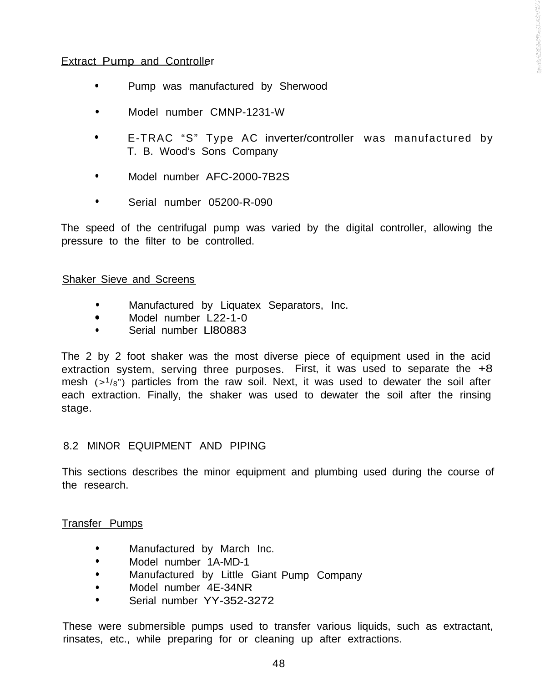# Extract Pump and Controller

- Pump was manufactured by Sherwood
- Model number CMNP-1231-W
- E-TRAC "S" Type AC inverter/controller was manufactured by T. B. Wood's Sons Company
- Model number AFC-2000-7B2S
- **·** Serial number 05200-R-090

The speed of the centrifugal pump was varied by the digital controller, allowing the pressure to the filter to be controlled.

### Shaker Sieve and Screens

- Manufactured by Liquatex Separators, Inc.
- <sup>e</sup> Model number L22-1-0
- Serial number LI80883

The 2 by 2 foot shaker was the most diverse piece of equipment used in the acid extraction system, serving three purposes. First, it was used to separate the +8 mesh  $(>1/8)$  particles from the raw soil. Next, it was used to dewater the soil after each extraction. Finally, the shaker was used to dewater the soil after the rinsing stage.

# 8.2 MINOR EQUIPMENT AND PIPING

This sections describes the minor equipment and plumbing used during the course of the research.

# Transfer Pumps

- Manufactured by March Inc.
- Model number 1A-MD-1
- Manufactured by Little Giant Pump Company
- Model number 4E-34NR
- Serial number YY-352-3272

These were submersible pumps used to transfer various liquids, such as extractant, rinsates, etc., while preparing for or cleaning up after extractions.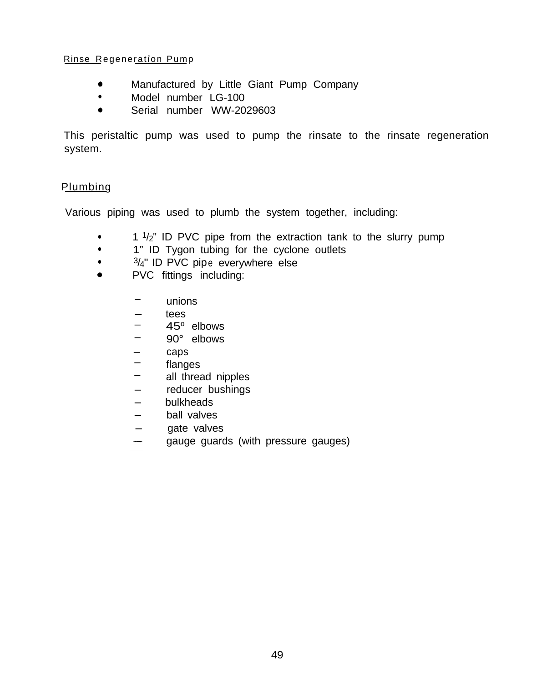### Rinse Regeneration Pump

- 0 Manufactured by Little Giant Pump Company
- Model number LG-100
- <sup>0</sup> Serial number WW-2029603

This peristaltic pump was used to pump the rinsate to the rinsate regeneration system.

# **Plumbing**

Various piping was used to plumb the system together, including:

- $\cdot$  1  $\frac{1}{2}$ " ID PVC pipe from the extraction tank to the slurry pump
- 1" ID Tygon tubing for the cyclone outlets
- $\cdot$   $\frac{3}{4}$ " ID PVC pipe everywhere else
- <sup>0</sup> PVC fittings including:
	- unions
	- tees
	- $45^\circ$  elbows
	- 90° elbows
	- caps
	- flanges
	- all thread nipples
	- all thread nipples<br>- reducer bushings
	- reducer b<br>- bulkheads
	- bulkheads<br>- ball valves
	- gate valves<br>- gauge quard
	- gauge guards (with pressure gauges)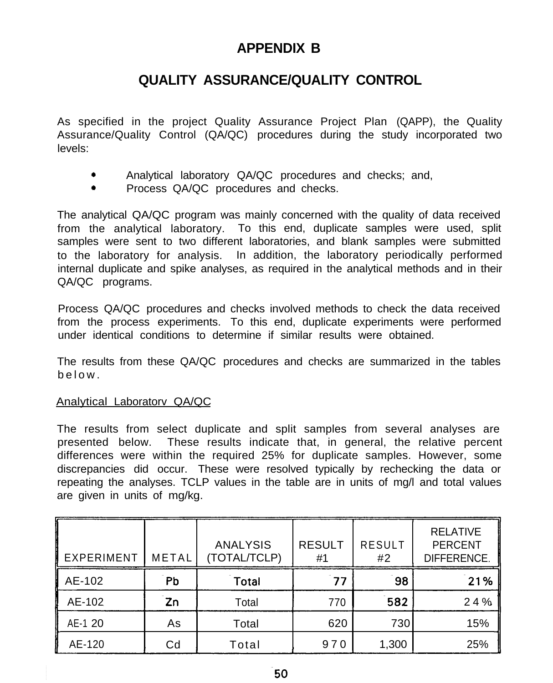# **APPENDIX B**

# **QUALITY ASSURANCE/QUALITY CONTROL**

As specified in the project Quality Assurance Project Plan (QAPP), the Quality Assurance/Quality Control (QA/QC) procedures during the study incorporated two levels:

- Analytical laboratory QA/QC procedures and checks; and,
- Process QA/QC procedures and checks.

The analytical QA/QC program was mainly concerned with the quality of data received from the analytical laboratory. To this end, duplicate samples were used, split samples were sent to two different laboratories, and blank samples were submitted to the laboratory for analysis. In addition, the laboratory periodically performed internal duplicate and spike analyses, as required in the analytical methods and in their QA/QC programs.

Process QA/QC procedures and checks involved methods to check the data received from the process experiments. To this end, duplicate experiments were performed under identical conditions to determine if similar results were obtained.

The results from these QA/QC procedures and checks are summarized in the tables below.

# Analytical Laboratorv QA/QC

The results from select duplicate and split samples from several analyses are presented below. These results indicate that, in general, the relative percent differences were within the required 25% for duplicate samples. However, some discrepancies did occur. These were resolved typically by rechecking the data or repeating the analyses. TCLP values in the table are in units of mg/l and total values are given in units of mg/kg.

| EXPERIMENT | <b>METAL</b>  | <b>ANALYSIS</b><br>(TOTAL/TCLP) | <b>RESULT</b><br>#1 | <b>RESULT</b><br>#2 | <b>RELATIVE</b><br><b>PERCENT</b><br>DIFFERENCE. |
|------------|---------------|---------------------------------|---------------------|---------------------|--------------------------------------------------|
| AE-102     | Pb            | Total                           | 77                  | 98                  | 21%                                              |
| AE-102     | $\mathsf{Zn}$ | Total                           | 770                 | 582                 | 24%                                              |
| AE-1 20    | As            | Total                           | 620                 | 730                 | 15%                                              |
| AE-120     | Cd            | Total                           | 970                 | 1,300               | 25%                                              |